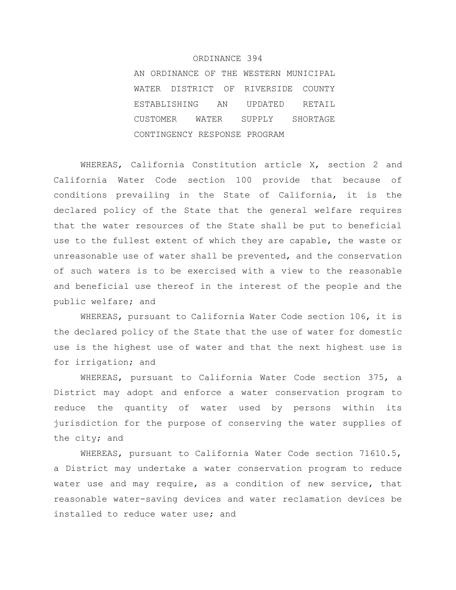### ORDINANCE 394

AN ORDINANCE OF THE WESTERN MUNICIPAL WATER DISTRICT OF RIVERSIDE COUNTY ESTABLISHING AN UPDATED RETAIL CUSTOMER WATER SUPPLY SHORTAGE CONTINGENCY RESPONSE PROGRAM

WHEREAS, California Constitution article X, section 2 and California Water Code section 100 provide that because of conditions prevailing in the State of California, it is the declared policy of the State that the general welfare requires that the water resources of the State shall be put to beneficial use to the fullest extent of which they are capable, the waste or unreasonable use of water shall be prevented, and the conservation of such waters is to be exercised with a view to the reasonable and beneficial use thereof in the interest of the people and the public welfare; and

WHEREAS, pursuant to California Water Code section 106, it is the declared policy of the State that the use of water for domestic use is the highest use of water and that the next highest use is for irrigation; and

WHEREAS, pursuant to California Water Code section 375, a District may adopt and enforce a water conservation program to reduce the quantity of water used by persons within its jurisdiction for the purpose of conserving the water supplies of the city; and

WHEREAS, pursuant to California Water Code section 71610.5, a District may undertake a water conservation program to reduce water use and may require, as a condition of new service, that reasonable water-saving devices and water reclamation devices be installed to reduce water use; and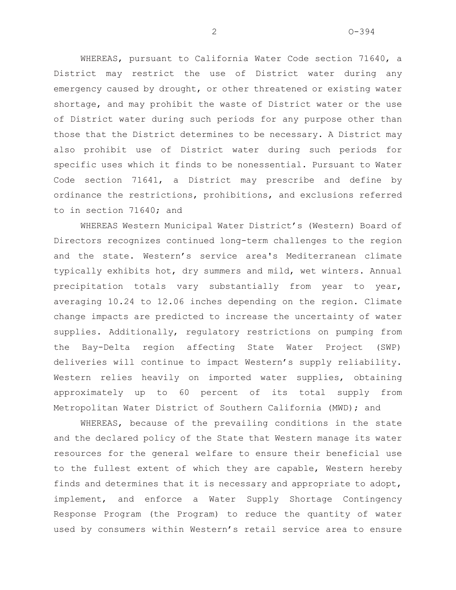WHEREAS, pursuant to California Water Code section 71640, a District may restrict the use of District water during any emergency caused by drought, or other threatened or existing water shortage, and may prohibit the waste of District water or the use of District water during such periods for any purpose other than those that the District determines to be necessary. A District may also prohibit use of District water during such periods for specific uses which it finds to be nonessential. Pursuant to Water Code section 71641, a District may prescribe and define by ordinance the restrictions, prohibitions, and exclusions referred to in section 71640; and

WHEREAS Western Municipal Water District's (Western) Board of Directors recognizes continued long-term challenges to the region and the state. Western's service area's Mediterranean climate typically exhibits hot, dry summers and mild, wet winters. Annual precipitation totals vary substantially from year to year, averaging 10.24 to 12.06 inches depending on the region. Climate change impacts are predicted to increase the uncertainty of water supplies. Additionally, regulatory restrictions on pumping from the Bay-Delta region affecting State Water Project (SWP) deliveries will continue to impact Western's supply reliability. Western relies heavily on imported water supplies, obtaining approximately up to 60 percent of its total supply from Metropolitan Water District of Southern California (MWD); and

WHEREAS, because of the prevailing conditions in the state and the declared policy of the State that Western manage its water resources for the general welfare to ensure their beneficial use to the fullest extent of which they are capable, Western hereby finds and determines that it is necessary and appropriate to adopt, implement, and enforce a Water Supply Shortage Contingency Response Program (the Program) to reduce the quantity of water used by consumers within Western's retail service area to ensure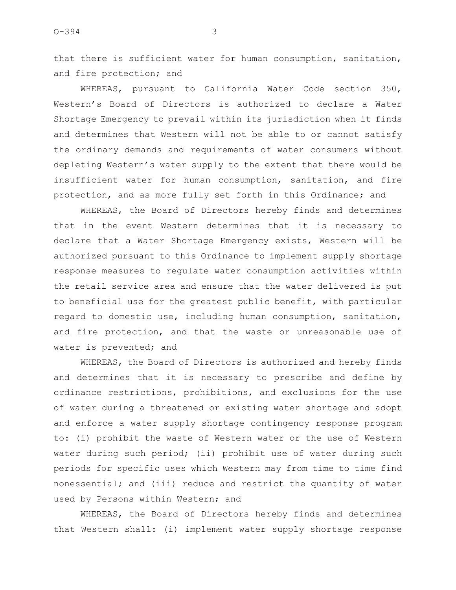that there is sufficient water for human consumption, sanitation, and fire protection; and

WHEREAS, pursuant to California Water Code section 350, Western's Board of Directors is authorized to declare a Water Shortage Emergency to prevail within its jurisdiction when it finds and determines that Western will not be able to or cannot satisfy the ordinary demands and requirements of water consumers without depleting Western's water supply to the extent that there would be insufficient water for human consumption, sanitation, and fire protection, and as more fully set forth in this Ordinance; and

WHEREAS, the Board of Directors hereby finds and determines that in the event Western determines that it is necessary to declare that a Water Shortage Emergency exists, Western will be authorized pursuant to this Ordinance to implement supply shortage response measures to regulate water consumption activities within the retail service area and ensure that the water delivered is put to beneficial use for the greatest public benefit, with particular regard to domestic use, including human consumption, sanitation, and fire protection, and that the waste or unreasonable use of water is prevented; and

WHEREAS, the Board of Directors is authorized and hereby finds and determines that it is necessary to prescribe and define by ordinance restrictions, prohibitions, and exclusions for the use of water during a threatened or existing water shortage and adopt and enforce a water supply shortage contingency response program to: (i) prohibit the waste of Western water or the use of Western water during such period; (ii) prohibit use of water during such periods for specific uses which Western may from time to time find nonessential; and (iii) reduce and restrict the quantity of water used by Persons within Western; and

WHEREAS, the Board of Directors hereby finds and determines that Western shall: (i) implement water supply shortage response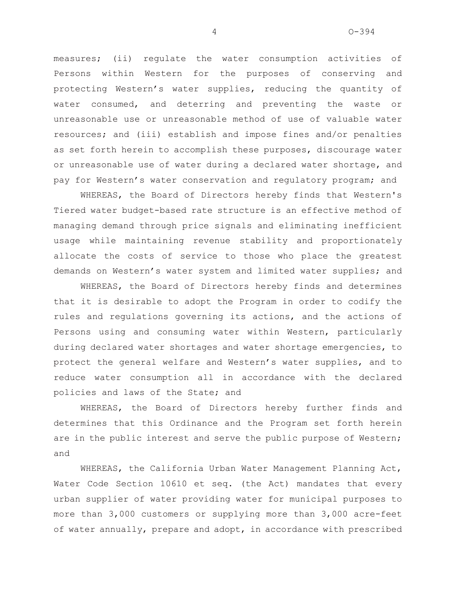measures; (ii) regulate the water consumption activities of Persons within Western for the purposes of conserving and protecting Western's water supplies, reducing the quantity of water consumed, and deterring and preventing the waste or unreasonable use or unreasonable method of use of valuable water resources; and (iii) establish and impose fines and/or penalties as set forth herein to accomplish these purposes, discourage water or unreasonable use of water during a declared water shortage, and pay for Western's water conservation and regulatory program; and

WHEREAS, the Board of Directors hereby finds that Western's Tiered water budget-based rate structure is an effective method of managing demand through price signals and eliminating inefficient usage while maintaining revenue stability and proportionately allocate the costs of service to those who place the greatest demands on Western's water system and limited water supplies; and

WHEREAS, the Board of Directors hereby finds and determines that it is desirable to adopt the Program in order to codify the rules and regulations governing its actions, and the actions of Persons using and consuming water within Western, particularly during declared water shortages and water shortage emergencies, to protect the general welfare and Western's water supplies, and to reduce water consumption all in accordance with the declared policies and laws of the State; and

WHEREAS, the Board of Directors hereby further finds and determines that this Ordinance and the Program set forth herein are in the public interest and serve the public purpose of Western; and

WHEREAS, the California Urban Water Management Planning Act, Water Code Section 10610 et seq. (the Act) mandates that every urban supplier of water providing water for municipal purposes to more than 3,000 customers or supplying more than 3,000 acre-feet of water annually, prepare and adopt, in accordance with prescribed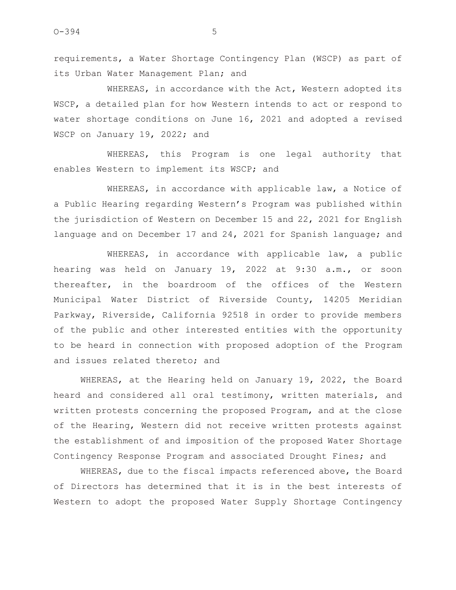requirements, a Water Shortage Contingency Plan (WSCP) as part of its Urban Water Management Plan; and

WHEREAS, in accordance with the Act, Western adopted its WSCP, a detailed plan for how Western intends to act or respond to water shortage conditions on June 16, 2021 and adopted a revised WSCP on January 19, 2022; and

WHEREAS, this Program is one legal authority that enables Western to implement its WSCP; and

WHEREAS, in accordance with applicable law, a Notice of a Public Hearing regarding Western's Program was published within the jurisdiction of Western on December 15 and 22, 2021 for English language and on December 17 and 24, 2021 for Spanish language; and

WHEREAS, in accordance with applicable law, a public hearing was held on January 19, 2022 at 9:30 a.m., or soon thereafter, in the boardroom of the offices of the Western Municipal Water District of Riverside County, 14205 Meridian Parkway, Riverside, California 92518 in order to provide members of the public and other interested entities with the opportunity to be heard in connection with proposed adoption of the Program and issues related thereto; and

WHEREAS, at the Hearing held on January 19, 2022, the Board heard and considered all oral testimony, written materials, and written protests concerning the proposed Program, and at the close of the Hearing, Western did not receive written protests against the establishment of and imposition of the proposed Water Shortage Contingency Response Program and associated Drought Fines; and

WHEREAS, due to the fiscal impacts referenced above, the Board of Directors has determined that it is in the best interests of Western to adopt the proposed Water Supply Shortage Contingency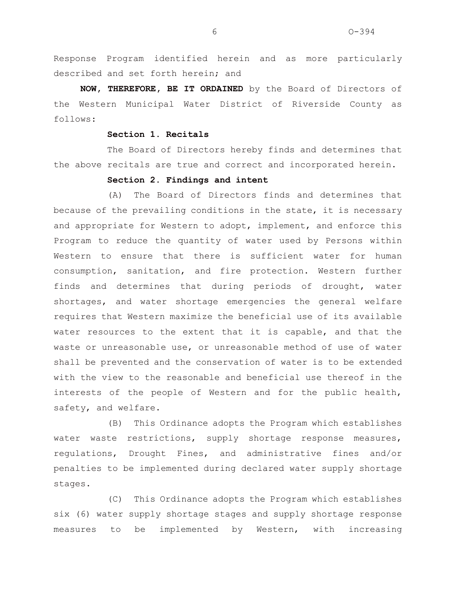Response Program identified herein and as more particularly described and set forth herein; and

**NOW, THEREFORE, BE IT ORDAINED** by the Board of Directors of the Western Municipal Water District of Riverside County as follows:

### **Section 1. Recitals**

The Board of Directors hereby finds and determines that the above recitals are true and correct and incorporated herein.

## **Section 2. Findings and intent**

(A) The Board of Directors finds and determines that because of the prevailing conditions in the state, it is necessary and appropriate for Western to adopt, implement, and enforce this Program to reduce the quantity of water used by Persons within Western to ensure that there is sufficient water for human consumption, sanitation, and fire protection. Western further finds and determines that during periods of drought, water shortages, and water shortage emergencies the general welfare requires that Western maximize the beneficial use of its available water resources to the extent that it is capable, and that the waste or unreasonable use, or unreasonable method of use of water shall be prevented and the conservation of water is to be extended with the view to the reasonable and beneficial use thereof in the interests of the people of Western and for the public health, safety, and welfare.

(B) This Ordinance adopts the Program which establishes water waste restrictions, supply shortage response measures, regulations, Drought Fines, and administrative fines and/or penalties to be implemented during declared water supply shortage stages.

(C) This Ordinance adopts the Program which establishes six (6) water supply shortage stages and supply shortage response measures to be implemented by Western, with increasing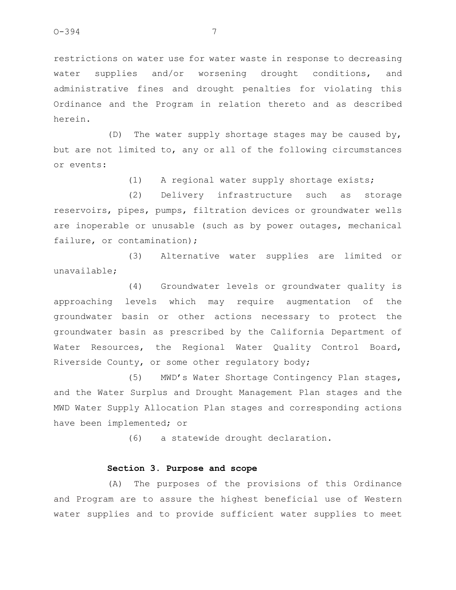restrictions on water use for water waste in response to decreasing water supplies and/or worsening drought conditions, and administrative fines and drought penalties for violating this Ordinance and the Program in relation thereto and as described herein.

(D) The water supply shortage stages may be caused by, but are not limited to, any or all of the following circumstances or events:

(1) A regional water supply shortage exists;

(2) Delivery infrastructure such as storage reservoirs, pipes, pumps, filtration devices or groundwater wells are inoperable or unusable (such as by power outages, mechanical failure, or contamination);

(3) Alternative water supplies are limited or unavailable;

(4) Groundwater levels or groundwater quality is approaching levels which may require augmentation of the groundwater basin or other actions necessary to protect the groundwater basin as prescribed by the California Department of Water Resources, the Regional Water Quality Control Board, Riverside County, or some other regulatory body;

(5) MWD's Water Shortage Contingency Plan stages, and the Water Surplus and Drought Management Plan stages and the MWD Water Supply Allocation Plan stages and corresponding actions have been implemented; or

(6) a statewide drought declaration.

### **Section 3. Purpose and scope**

(A) The purposes of the provisions of this Ordinance and Program are to assure the highest beneficial use of Western water supplies and to provide sufficient water supplies to meet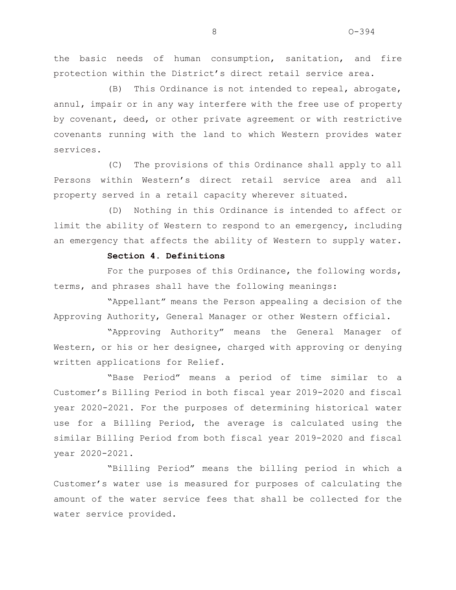the basic needs of human consumption, sanitation, and fire protection within the District's direct retail service area.

(B) This Ordinance is not intended to repeal, abrogate, annul, impair or in any way interfere with the free use of property by covenant, deed, or other private agreement or with restrictive covenants running with the land to which Western provides water services.

(C) The provisions of this Ordinance shall apply to all Persons within Western's direct retail service area and all property served in a retail capacity wherever situated.

(D) Nothing in this Ordinance is intended to affect or limit the ability of Western to respond to an emergency, including an emergency that affects the ability of Western to supply water.

## **Section 4. Definitions**

For the purposes of this Ordinance, the following words, terms, and phrases shall have the following meanings:

"Appellant" means the Person appealing a decision of the Approving Authority, General Manager or other Western official.

"Approving Authority" means the General Manager of Western, or his or her designee, charged with approving or denying written applications for Relief.

"Base Period" means a period of time similar to a Customer's Billing Period in both fiscal year 2019-2020 and fiscal year 2020-2021. For the purposes of determining historical water use for a Billing Period, the average is calculated using the similar Billing Period from both fiscal year 2019-2020 and fiscal year 2020-2021.

"Billing Period" means the billing period in which a Customer's water use is measured for purposes of calculating the amount of the water service fees that shall be collected for the water service provided.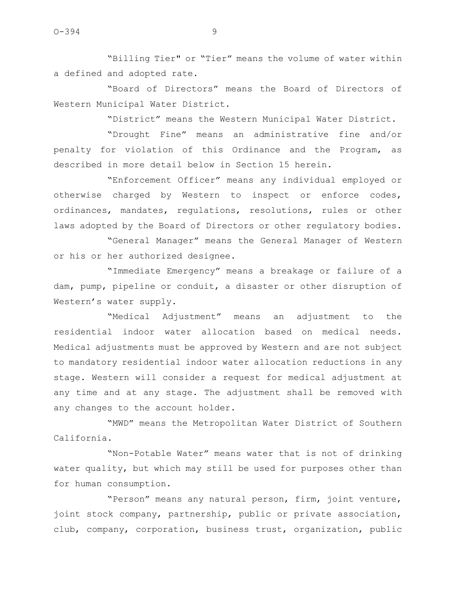"Billing Tier" or "Tier" means the volume of water within a defined and adopted rate.

"Board of Directors" means the Board of Directors of Western Municipal Water District.

"District" means the Western Municipal Water District.

"Drought Fine" means an administrative fine and/or penalty for violation of this Ordinance and the Program, as described in more detail below in Section 15 herein.

"Enforcement Officer" means any individual employed or otherwise charged by Western to inspect or enforce codes, ordinances, mandates, regulations, resolutions, rules or other laws adopted by the Board of Directors or other regulatory bodies.

"General Manager" means the General Manager of Western or his or her authorized designee.

"Immediate Emergency" means a breakage or failure of a dam, pump, pipeline or conduit, a disaster or other disruption of Western's water supply.

"Medical Adjustment" means an adjustment to the residential indoor water allocation based on medical needs. Medical adjustments must be approved by Western and are not subject to mandatory residential indoor water allocation reductions in any stage. Western will consider a request for medical adjustment at any time and at any stage. The adjustment shall be removed with any changes to the account holder.

"MWD" means the Metropolitan Water District of Southern California.

"Non-Potable Water" means water that is not of drinking water quality, but which may still be used for purposes other than for human consumption.

"Person" means any natural person, firm, joint venture, joint stock company, partnership, public or private association, club, company, corporation, business trust, organization, public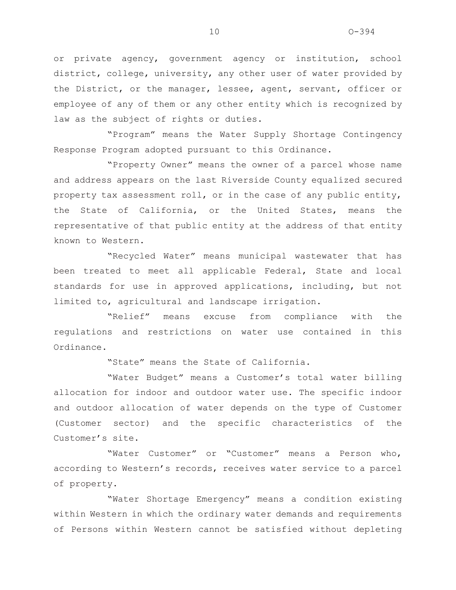or private agency, government agency or institution, school district, college, university, any other user of water provided by the District, or the manager, lessee, agent, servant, officer or employee of any of them or any other entity which is recognized by law as the subject of rights or duties.

"Program" means the Water Supply Shortage Contingency Response Program adopted pursuant to this Ordinance.

"Property Owner" means the owner of a parcel whose name and address appears on the last Riverside County equalized secured property tax assessment roll, or in the case of any public entity, the State of California, or the United States, means the representative of that public entity at the address of that entity known to Western.

"Recycled Water" means municipal wastewater that has been treated to meet all applicable Federal, State and local standards for use in approved applications, including, but not limited to, agricultural and landscape irrigation.

"Relief" means excuse from compliance with the regulations and restrictions on water use contained in this Ordinance.

"State" means the State of California.

"Water Budget" means a Customer's total water billing allocation for indoor and outdoor water use. The specific indoor and outdoor allocation of water depends on the type of Customer (Customer sector) and the specific characteristics of the Customer's site.

"Water Customer" or "Customer" means a Person who, according to Western's records, receives water service to a parcel of property.

"Water Shortage Emergency" means a condition existing within Western in which the ordinary water demands and requirements of Persons within Western cannot be satisfied without depleting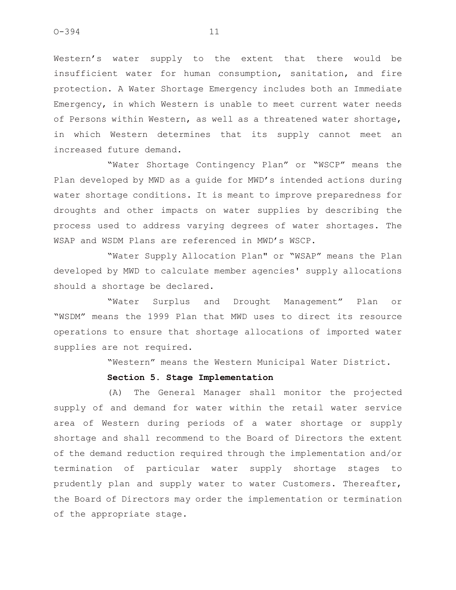Western's water supply to the extent that there would be insufficient water for human consumption, sanitation, and fire protection. A Water Shortage Emergency includes both an Immediate Emergency, in which Western is unable to meet current water needs of Persons within Western, as well as a threatened water shortage, in which Western determines that its supply cannot meet an increased future demand.

"Water Shortage Contingency Plan" or "WSCP" means the Plan developed by MWD as a guide for MWD's intended actions during water shortage conditions. It is meant to improve preparedness for droughts and other impacts on water supplies by describing the process used to address varying degrees of water shortages. The WSAP and WSDM Plans are referenced in MWD's WSCP.

"Water Supply Allocation Plan" or "WSAP" means the Plan developed by MWD to calculate member agencies' supply allocations should a shortage be declared.

"Water Surplus and Drought Management" Plan or "WSDM" means the 1999 Plan that MWD uses to direct its resource operations to ensure that shortage allocations of imported water supplies are not required.

"Western" means the Western Municipal Water District.

### **Section 5. Stage Implementation**

(A) The General Manager shall monitor the projected supply of and demand for water within the retail water service area of Western during periods of a water shortage or supply shortage and shall recommend to the Board of Directors the extent of the demand reduction required through the implementation and/or termination of particular water supply shortage stages to prudently plan and supply water to water Customers. Thereafter, the Board of Directors may order the implementation or termination of the appropriate stage.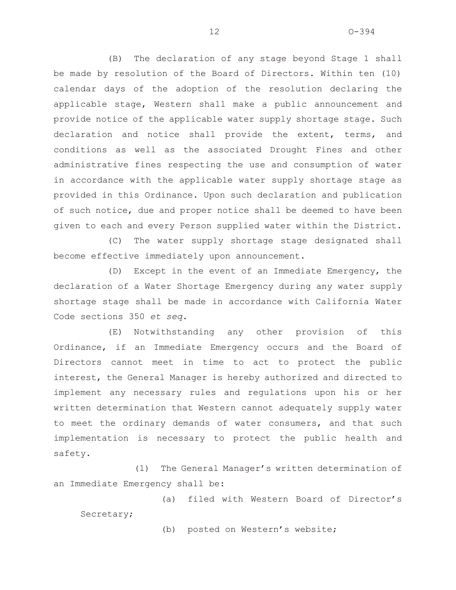(B) The declaration of any stage beyond Stage 1 shall be made by resolution of the Board of Directors. Within ten (10) calendar days of the adoption of the resolution declaring the applicable stage, Western shall make a public announcement and provide notice of the applicable water supply shortage stage. Such declaration and notice shall provide the extent, terms, and conditions as well as the associated Drought Fines and other administrative fines respecting the use and consumption of water in accordance with the applicable water supply shortage stage as provided in this Ordinance. Upon such declaration and publication of such notice, due and proper notice shall be deemed to have been given to each and every Person supplied water within the District.

(C) The water supply shortage stage designated shall become effective immediately upon announcement.

(D) Except in the event of an Immediate Emergency, the declaration of a Water Shortage Emergency during any water supply shortage stage shall be made in accordance with California Water Code sections 350 *et seq.*

(E) Notwithstanding any other provision of this Ordinance, if an Immediate Emergency occurs and the Board of Directors cannot meet in time to act to protect the public interest, the General Manager is hereby authorized and directed to implement any necessary rules and regulations upon his or her written determination that Western cannot adequately supply water to meet the ordinary demands of water consumers, and that such implementation is necessary to protect the public health and safety.

(1) The General Manager's written determination of an Immediate Emergency shall be:

(a) filed with Western Board of Director's

Secretary;

(b) posted on Western's website;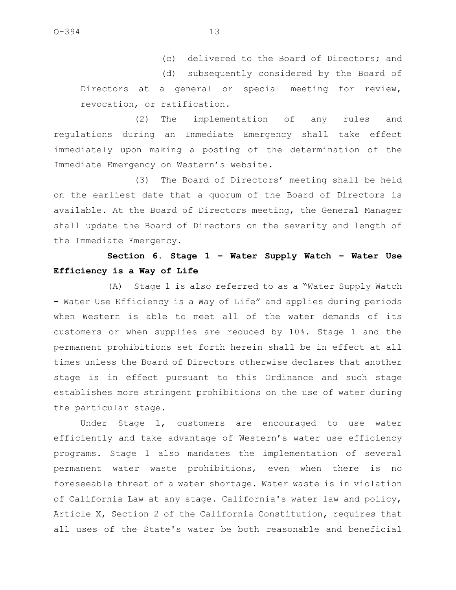(c) delivered to the Board of Directors; and

(d) subsequently considered by the Board of Directors at a general or special meeting for review, revocation, or ratification.

(2) The implementation of any rules and regulations during an Immediate Emergency shall take effect immediately upon making a posting of the determination of the Immediate Emergency on Western's website.

(3) The Board of Directors' meeting shall be held on the earliest date that a quorum of the Board of Directors is available. At the Board of Directors meeting, the General Manager shall update the Board of Directors on the severity and length of the Immediate Emergency.

# **Section 6. Stage 1 – Water Supply Watch – Water Use Efficiency is a Way of Life**

(A) Stage 1 is also referred to as a "Water Supply Watch – Water Use Efficiency is a Way of Life" and applies during periods when Western is able to meet all of the water demands of its customers or when supplies are reduced by 10%. Stage 1 and the permanent prohibitions set forth herein shall be in effect at all times unless the Board of Directors otherwise declares that another stage is in effect pursuant to this Ordinance and such stage establishes more stringent prohibitions on the use of water during the particular stage.

Under Stage 1, customers are encouraged to use water efficiently and take advantage of Western's water use efficiency programs. Stage 1 also mandates the implementation of several permanent water waste prohibitions, even when there is no foreseeable threat of a water shortage. Water waste is in violation of California Law at any stage. California's water law and policy, Article X, Section 2 of the California Constitution, requires that all uses of the State's water be both reasonable and beneficial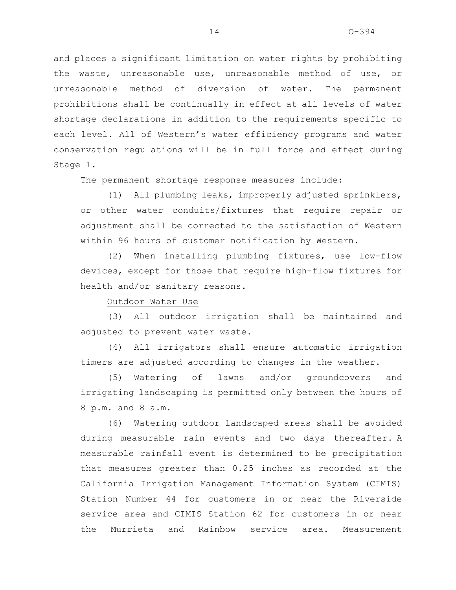and places a significant limitation on water rights by prohibiting the waste, unreasonable use, unreasonable method of use, or unreasonable method of diversion of water. The permanent prohibitions shall be continually in effect at all levels of water shortage declarations in addition to the requirements specific to each level. All of Western's water efficiency programs and water conservation regulations will be in full force and effect during Stage 1.

The permanent shortage response measures include:

(1) All plumbing leaks, improperly adjusted sprinklers, or other water conduits/fixtures that require repair or adjustment shall be corrected to the satisfaction of Western within 96 hours of customer notification by Western.

(2) When installing plumbing fixtures, use low-flow devices, except for those that require high-flow fixtures for health and/or sanitary reasons.

### Outdoor Water Use

(3) All outdoor irrigation shall be maintained and adjusted to prevent water waste.

(4) All irrigators shall ensure automatic irrigation timers are adjusted according to changes in the weather.

(5) Watering of lawns and/or groundcovers and irrigating landscaping is permitted only between the hours of 8 p.m. and 8 a.m.

(6) Watering outdoor landscaped areas shall be avoided during measurable rain events and two days thereafter. A measurable rainfall event is determined to be precipitation that measures greater than 0.25 inches as recorded at the California Irrigation Management Information System (CIMIS) Station Number 44 for customers in or near the Riverside service area and CIMIS Station 62 for customers in or near the Murrieta and Rainbow service area. Measurement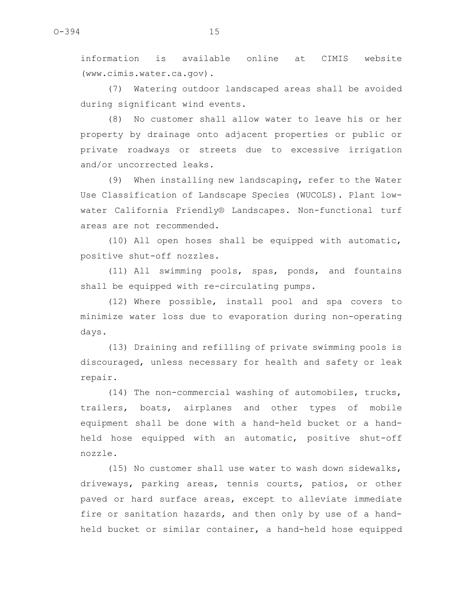information is available online at CIMIS website (www.cimis.water.ca.gov).

(7) Watering outdoor landscaped areas shall be avoided during significant wind events.

(8) No customer shall allow water to leave his or her property by drainage onto adjacent properties or public or private roadways or streets due to excessive irrigation and/or uncorrected leaks.

(9) When installing new landscaping, refer to the Water Use Classification of Landscape Species (WUCOLS). Plant lowwater California Friendly® Landscapes. Non-functional turf areas are not recommended.

(10) All open hoses shall be equipped with automatic, positive shut-off nozzles.

(11) All swimming pools, spas, ponds, and fountains shall be equipped with re-circulating pumps.

(12) Where possible, install pool and spa covers to minimize water loss due to evaporation during non-operating days.

(13) Draining and refilling of private swimming pools is discouraged, unless necessary for health and safety or leak repair.

(14) The non-commercial washing of automobiles, trucks, trailers, boats, airplanes and other types of mobile equipment shall be done with a hand-held bucket or a handheld hose equipped with an automatic, positive shut-off nozzle.

(15) No customer shall use water to wash down sidewalks, driveways, parking areas, tennis courts, patios, or other paved or hard surface areas, except to alleviate immediate fire or sanitation hazards, and then only by use of a handheld bucket or similar container, a hand-held hose equipped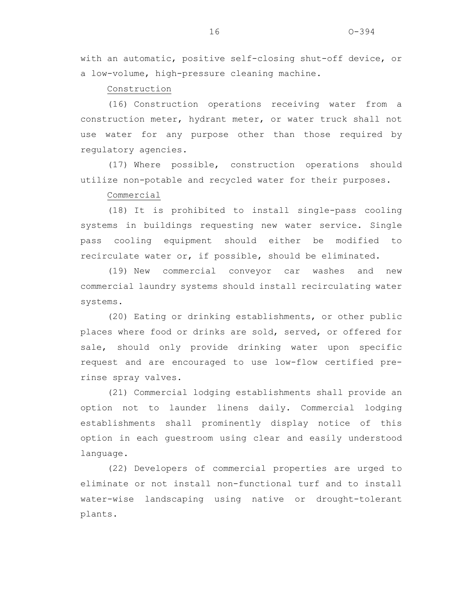with an automatic, positive self-closing shut-off device, or a low-volume, high-pressure cleaning machine.

Construction

(16) Construction operations receiving water from a construction meter, hydrant meter, or water truck shall not use water for any purpose other than those required by regulatory agencies.

(17) Where possible, construction operations should utilize non-potable and recycled water for their purposes.

Commercial

(18) It is prohibited to install single-pass cooling systems in buildings requesting new water service. Single pass cooling equipment should either be modified to recirculate water or, if possible, should be eliminated.

(19) New commercial conveyor car washes and new commercial laundry systems should install recirculating water systems.

(20) Eating or drinking establishments, or other public places where food or drinks are sold, served, or offered for sale, should only provide drinking water upon specific request and are encouraged to use low-flow certified prerinse spray valves.

(21) Commercial lodging establishments shall provide an option not to launder linens daily. Commercial lodging establishments shall prominently display notice of this option in each guestroom using clear and easily understood language.

(22) Developers of commercial properties are urged to eliminate or not install non-functional turf and to install water-wise landscaping using native or drought-tolerant plants.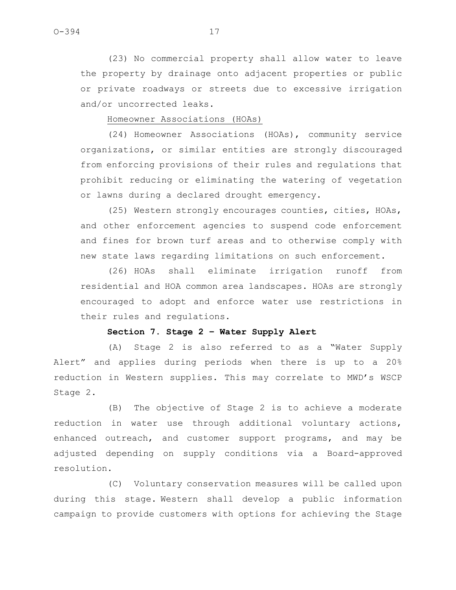(23) No commercial property shall allow water to leave the property by drainage onto adjacent properties or public or private roadways or streets due to excessive irrigation and/or uncorrected leaks.

Homeowner Associations (HOAs)

(24) Homeowner Associations (HOAs), community service organizations, or similar entities are strongly discouraged from enforcing provisions of their rules and regulations that prohibit reducing or eliminating the watering of vegetation or lawns during a declared drought emergency.

(25) Western strongly encourages counties, cities, HOAs, and other enforcement agencies to suspend code enforcement and fines for brown turf areas and to otherwise comply with new state laws regarding limitations on such enforcement.

(26) HOAs shall eliminate irrigation runoff from residential and HOA common area landscapes. HOAs are strongly encouraged to adopt and enforce water use restrictions in their rules and regulations.

## **Section 7. Stage 2 – Water Supply Alert**

(A) Stage 2 is also referred to as a "Water Supply Alert" and applies during periods when there is up to a 20% reduction in Western supplies. This may correlate to MWD's WSCP Stage 2.

(B) The objective of Stage 2 is to achieve a moderate reduction in water use through additional voluntary actions, enhanced outreach, and customer support programs, and may be adjusted depending on supply conditions via a Board-approved resolution.

(C) Voluntary conservation measures will be called upon during this stage. Western shall develop a public information campaign to provide customers with options for achieving the Stage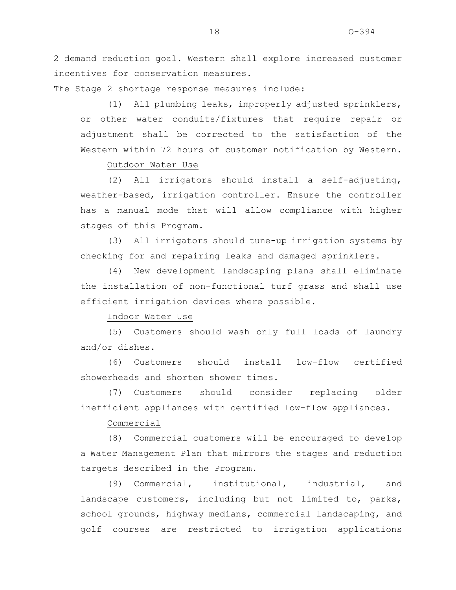2 demand reduction goal. Western shall explore increased customer incentives for conservation measures.

The Stage 2 shortage response measures include:

(1) All plumbing leaks, improperly adjusted sprinklers, or other water conduits/fixtures that require repair or adjustment shall be corrected to the satisfaction of the Western within 72 hours of customer notification by Western.

Outdoor Water Use

(2) All irrigators should install a self-adjusting, weather-based, irrigation controller. Ensure the controller has a manual mode that will allow compliance with higher stages of this Program.

(3) All irrigators should tune-up irrigation systems by checking for and repairing leaks and damaged sprinklers.

(4) New development landscaping plans shall eliminate the installation of non-functional turf grass and shall use efficient irrigation devices where possible.

Indoor Water Use

(5) Customers should wash only full loads of laundry and/or dishes.

(6) Customers should install low-flow certified showerheads and shorten shower times.

(7) Customers should consider replacing older inefficient appliances with certified low-flow appliances.

Commercial

(8) Commercial customers will be encouraged to develop a Water Management Plan that mirrors the stages and reduction targets described in the Program.

(9) Commercial, institutional, industrial, and landscape customers, including but not limited to, parks, school grounds, highway medians, commercial landscaping, and golf courses are restricted to irrigation applications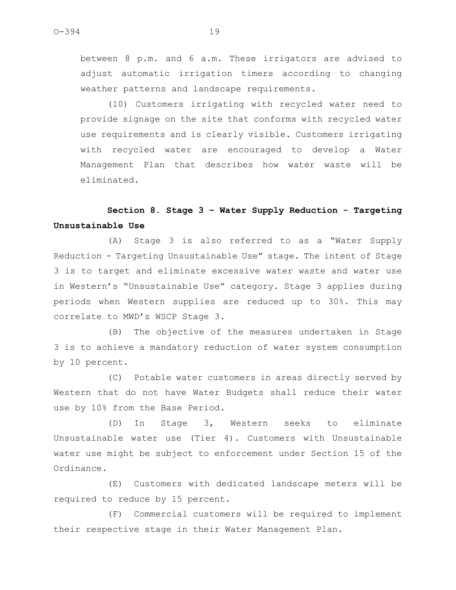between 8 p.m. and 6 a.m. These irrigators are advised to adjust automatic irrigation timers according to changing weather patterns and landscape requirements.

(10) Customers irrigating with recycled water need to provide signage on the site that conforms with recycled water use requirements and is clearly visible. Customers irrigating with recycled water are encouraged to develop a Water Management Plan that describes how water waste will be eliminated.

# **Section 8. Stage 3 – Water Supply Reduction - Targeting Unsustainable Use**

(A) Stage 3 is also referred to as a "Water Supply Reduction - Targeting Unsustainable Use" stage. The intent of Stage 3 is to target and eliminate excessive water waste and water use in Western's "Unsustainable Use" category. Stage 3 applies during periods when Western supplies are reduced up to 30%. This may correlate to MWD's WSCP Stage 3.

(B) The objective of the measures undertaken in Stage 3 is to achieve a mandatory reduction of water system consumption by 10 percent.

(C) Potable water customers in areas directly served by Western that do not have Water Budgets shall reduce their water use by 10% from the Base Period.

(D) In Stage 3, Western seeks to eliminate Unsustainable water use (Tier 4). Customers with Unsustainable water use might be subject to enforcement under Section 15 of the Ordinance.

(E) Customers with dedicated landscape meters will be required to reduce by 15 percent.

(F) Commercial customers will be required to implement their respective stage in their Water Management Plan.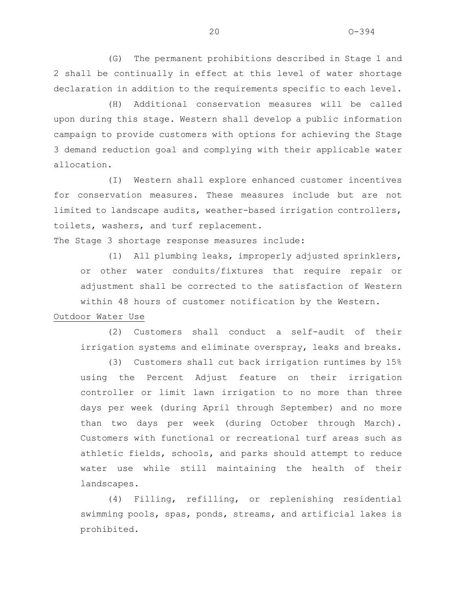(G) The permanent prohibitions described in Stage 1 and 2 shall be continually in effect at this level of water shortage declaration in addition to the requirements specific to each level.

(H) Additional conservation measures will be called upon during this stage. Western shall develop a public information campaign to provide customers with options for achieving the Stage 3 demand reduction goal and complying with their applicable water allocation.

(I) Western shall explore enhanced customer incentives for conservation measures. These measures include but are not limited to landscape audits, weather-based irrigation controllers, toilets, washers, and turf replacement.

The Stage 3 shortage response measures include:

(1) All plumbing leaks, improperly adjusted sprinklers, or other water conduits/fixtures that require repair or adjustment shall be corrected to the satisfaction of Western within 48 hours of customer notification by the Western.

### Outdoor Water Use

(2) Customers shall conduct a self-audit of their irrigation systems and eliminate overspray, leaks and breaks.

(3) Customers shall cut back irrigation runtimes by 15% using the Percent Adjust feature on their irrigation controller or limit lawn irrigation to no more than three days per week (during April through September) and no more than two days per week (during October through March). Customers with functional or recreational turf areas such as athletic fields, schools, and parks should attempt to reduce water use while still maintaining the health of their landscapes.

(4) Filling, refilling, or replenishing residential swimming pools, spas, ponds, streams, and artificial lakes is prohibited.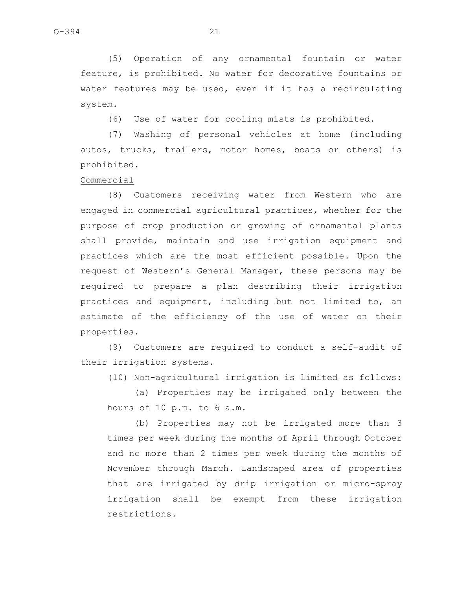(5) Operation of any ornamental fountain or water feature, is prohibited. No water for decorative fountains or water features may be used, even if it has a recirculating system.

(6) Use of water for cooling mists is prohibited.

(7) Washing of personal vehicles at home (including autos, trucks, trailers, motor homes, boats or others) is prohibited.

Commercial

(8) Customers receiving water from Western who are engaged in commercial agricultural practices, whether for the purpose of crop production or growing of ornamental plants shall provide, maintain and use irrigation equipment and practices which are the most efficient possible. Upon the request of Western's General Manager, these persons may be required to prepare a plan describing their irrigation practices and equipment, including but not limited to, an estimate of the efficiency of the use of water on their properties.

(9) Customers are required to conduct a self-audit of their irrigation systems.

(10) Non-agricultural irrigation is limited as follows:

(a) Properties may be irrigated only between the hours of 10 p.m. to 6 a.m.

(b) Properties may not be irrigated more than 3 times per week during the months of April through October and no more than 2 times per week during the months of November through March. Landscaped area of properties that are irrigated by drip irrigation or micro-spray irrigation shall be exempt from these irrigation restrictions.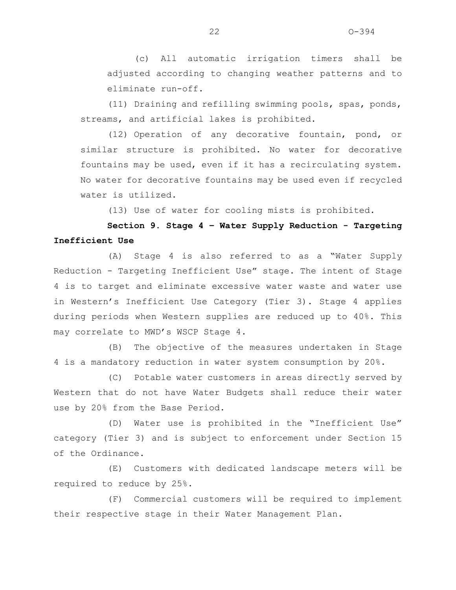(c) All automatic irrigation timers shall be adjusted according to changing weather patterns and to eliminate run-off.

(11) Draining and refilling swimming pools, spas, ponds, streams, and artificial lakes is prohibited.

(12) Operation of any decorative fountain, pond, or similar structure is prohibited. No water for decorative fountains may be used, even if it has a recirculating system. No water for decorative fountains may be used even if recycled water is utilized.

(13) Use of water for cooling mists is prohibited.

**Section 9. Stage 4 – Water Supply Reduction - Targeting Inefficient Use**

(A) Stage 4 is also referred to as a "Water Supply Reduction - Targeting Inefficient Use" stage. The intent of Stage 4 is to target and eliminate excessive water waste and water use in Western's Inefficient Use Category (Tier 3). Stage 4 applies during periods when Western supplies are reduced up to 40%. This may correlate to MWD's WSCP Stage 4.

(B) The objective of the measures undertaken in Stage 4 is a mandatory reduction in water system consumption by 20%.

(C) Potable water customers in areas directly served by Western that do not have Water Budgets shall reduce their water use by 20% from the Base Period.

(D) Water use is prohibited in the "Inefficient Use" category (Tier 3) and is subject to enforcement under Section 15 of the Ordinance.

(E) Customers with dedicated landscape meters will be required to reduce by 25%.

(F) Commercial customers will be required to implement their respective stage in their Water Management Plan.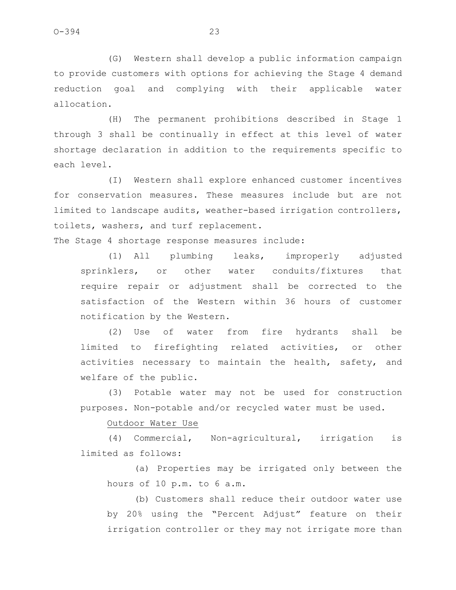(G) Western shall develop a public information campaign to provide customers with options for achieving the Stage 4 demand reduction goal and complying with their applicable water allocation.

(H) The permanent prohibitions described in Stage 1 through 3 shall be continually in effect at this level of water shortage declaration in addition to the requirements specific to each level.

(I) Western shall explore enhanced customer incentives for conservation measures. These measures include but are not limited to landscape audits, weather-based irrigation controllers, toilets, washers, and turf replacement.

The Stage 4 shortage response measures include:

(1) All plumbing leaks, improperly adjusted sprinklers, or other water conduits/fixtures that require repair or adjustment shall be corrected to the satisfaction of the Western within 36 hours of customer notification by the Western.

(2) Use of water from fire hydrants shall be limited to firefighting related activities, or other activities necessary to maintain the health, safety, and welfare of the public.

(3) Potable water may not be used for construction purposes. Non-potable and/or recycled water must be used.

Outdoor Water Use

(4) Commercial, Non-agricultural, irrigation is limited as follows:

(a) Properties may be irrigated only between the hours of 10 p.m. to 6 a.m.

(b) Customers shall reduce their outdoor water use by 20% using the "Percent Adjust" feature on their irrigation controller or they may not irrigate more than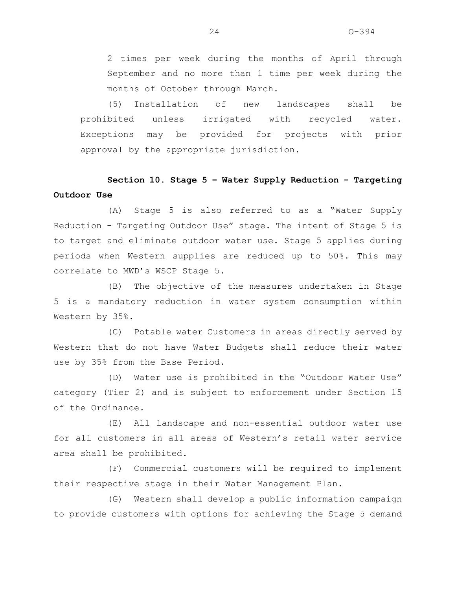2 times per week during the months of April through September and no more than 1 time per week during the months of October through March.

(5) Installation of new landscapes shall be prohibited unless irrigated with recycled water. Exceptions may be provided for projects with prior approval by the appropriate jurisdiction.

# **Section 10. Stage 5 – Water Supply Reduction - Targeting Outdoor Use**

(A) Stage 5 is also referred to as a "Water Supply Reduction - Targeting Outdoor Use" stage. The intent of Stage 5 is to target and eliminate outdoor water use. Stage 5 applies during periods when Western supplies are reduced up to 50%. This may correlate to MWD's WSCP Stage 5.

(B) The objective of the measures undertaken in Stage 5 is a mandatory reduction in water system consumption within Western by 35%.

(C) Potable water Customers in areas directly served by Western that do not have Water Budgets shall reduce their water use by 35% from the Base Period.

(D) Water use is prohibited in the "Outdoor Water Use" category (Tier 2) and is subject to enforcement under Section 15 of the Ordinance.

(E) All landscape and non-essential outdoor water use for all customers in all areas of Western's retail water service area shall be prohibited.

(F) Commercial customers will be required to implement their respective stage in their Water Management Plan.

(G) Western shall develop a public information campaign to provide customers with options for achieving the Stage 5 demand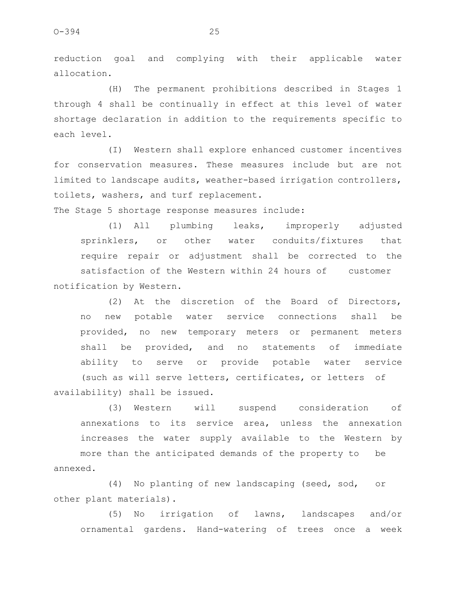reduction goal and complying with their applicable water allocation.

(H) The permanent prohibitions described in Stages 1 through 4 shall be continually in effect at this level of water shortage declaration in addition to the requirements specific to each level.

(I) Western shall explore enhanced customer incentives for conservation measures. These measures include but are not limited to landscape audits, weather-based irrigation controllers, toilets, washers, and turf replacement.

The Stage 5 shortage response measures include:

(1) All plumbing leaks, improperly adjusted sprinklers, or other water conduits/fixtures that require repair or adjustment shall be corrected to the satisfaction of the Western within 24 hours of customer notification by Western.

(2) At the discretion of the Board of Directors, no new potable water service connections shall be provided, no new temporary meters or permanent meters shall be provided, and no statements of immediate ability to serve or provide potable water service (such as will serve letters, certificates, or letters of availability) shall be issued.

(3) Western will suspend consideration of annexations to its service area, unless the annexation increases the water supply available to the Western by more than the anticipated demands of the property to be

annexed.

(4) No planting of new landscaping (seed, sod, or other plant materials).

(5) No irrigation of lawns, landscapes and/or ornamental gardens. Hand-watering of trees once a week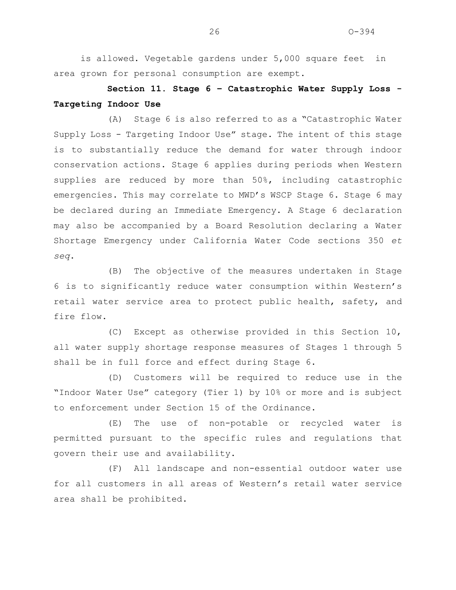is allowed. Vegetable gardens under 5,000 square feet in area grown for personal consumption are exempt.

**Section 11. Stage 6 – Catastrophic Water Supply Loss - Targeting Indoor Use** 

(A) Stage 6 is also referred to as a "Catastrophic Water Supply Loss - Targeting Indoor Use" stage. The intent of this stage is to substantially reduce the demand for water through indoor conservation actions. Stage 6 applies during periods when Western supplies are reduced by more than 50%, including catastrophic emergencies. This may correlate to MWD's WSCP Stage 6. Stage 6 may be declared during an Immediate Emergency. A Stage 6 declaration may also be accompanied by a Board Resolution declaring a Water Shortage Emergency under California Water Code sections 350 *et seq*.

(B) The objective of the measures undertaken in Stage 6 is to significantly reduce water consumption within Western's retail water service area to protect public health, safety, and fire flow.

(C) Except as otherwise provided in this Section 10, all water supply shortage response measures of Stages 1 through 5 shall be in full force and effect during Stage 6.

(D) Customers will be required to reduce use in the "Indoor Water Use" category (Tier 1) by 10% or more and is subject to enforcement under Section 15 of the Ordinance.

(E) The use of non-potable or recycled water is permitted pursuant to the specific rules and regulations that govern their use and availability.

(F) All landscape and non-essential outdoor water use for all customers in all areas of Western's retail water service area shall be prohibited.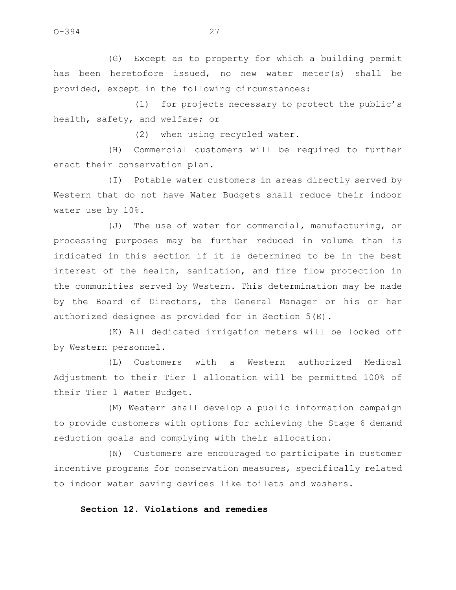(G) Except as to property for which a building permit has been heretofore issued, no new water meter(s) shall be provided, except in the following circumstances:

(1) for projects necessary to protect the public's health, safety, and welfare; or

(2) when using recycled water.

(H) Commercial customers will be required to further enact their conservation plan.

(I) Potable water customers in areas directly served by Western that do not have Water Budgets shall reduce their indoor water use by 10%.

(J) The use of water for commercial, manufacturing, or processing purposes may be further reduced in volume than is indicated in this section if it is determined to be in the best interest of the health, sanitation, and fire flow protection in the communities served by Western. This determination may be made by the Board of Directors, the General Manager or his or her authorized designee as provided for in Section 5(E).

(K) All dedicated irrigation meters will be locked off by Western personnel.

(L) Customers with a Western authorized Medical Adjustment to their Tier 1 allocation will be permitted 100% of their Tier 1 Water Budget.

(M) Western shall develop a public information campaign to provide customers with options for achieving the Stage 6 demand reduction goals and complying with their allocation.

(N) Customers are encouraged to participate in customer incentive programs for conservation measures, specifically related to indoor water saving devices like toilets and washers.

## **Section 12. Violations and remedies**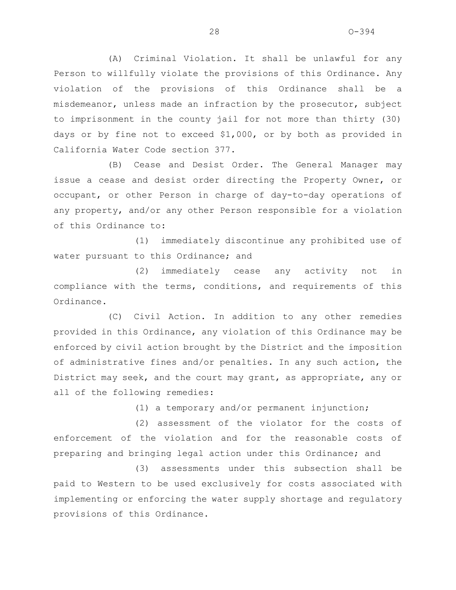(A) Criminal Violation. It shall be unlawful for any Person to willfully violate the provisions of this Ordinance. Any violation of the provisions of this Ordinance shall be a misdemeanor, unless made an infraction by the prosecutor, subject to imprisonment in the county jail for not more than thirty (30) days or by fine not to exceed \$1,000, or by both as provided in California Water Code section 377.

(B) Cease and Desist Order. The General Manager may issue a cease and desist order directing the Property Owner, or occupant, or other Person in charge of day-to-day operations of any property, and/or any other Person responsible for a violation of this Ordinance to:

(1) immediately discontinue any prohibited use of water pursuant to this Ordinance; and

(2) immediately cease any activity not in compliance with the terms, conditions, and requirements of this Ordinance.

(C) Civil Action. In addition to any other remedies provided in this Ordinance, any violation of this Ordinance may be enforced by civil action brought by the District and the imposition of administrative fines and/or penalties. In any such action, the District may seek, and the court may grant, as appropriate, any or all of the following remedies:

(1) a temporary and/or permanent injunction;

 (2) assessment of the violator for the costs of enforcement of the violation and for the reasonable costs of preparing and bringing legal action under this Ordinance; and

(3) assessments under this subsection shall be paid to Western to be used exclusively for costs associated with implementing or enforcing the water supply shortage and regulatory provisions of this Ordinance.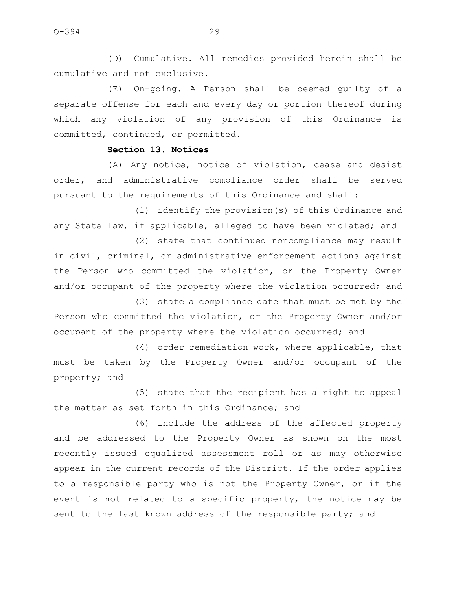(D) Cumulative. All remedies provided herein shall be cumulative and not exclusive.

(E) On-going. A Person shall be deemed guilty of a separate offense for each and every day or portion thereof during which any violation of any provision of this Ordinance is committed, continued, or permitted.

## **Section 13. Notices**

(A) Any notice, notice of violation, cease and desist order, and administrative compliance order shall be served pursuant to the requirements of this Ordinance and shall:

(1) identify the provision(s) of this Ordinance and any State law, if applicable, alleged to have been violated; and

(2) state that continued noncompliance may result in civil, criminal, or administrative enforcement actions against the Person who committed the violation, or the Property Owner and/or occupant of the property where the violation occurred; and

(3) state a compliance date that must be met by the Person who committed the violation, or the Property Owner and/or occupant of the property where the violation occurred; and

(4) order remediation work, where applicable, that must be taken by the Property Owner and/or occupant of the property; and

(5) state that the recipient has a right to appeal the matter as set forth in this Ordinance; and

(6) include the address of the affected property and be addressed to the Property Owner as shown on the most recently issued equalized assessment roll or as may otherwise appear in the current records of the District. If the order applies to a responsible party who is not the Property Owner, or if the event is not related to a specific property, the notice may be sent to the last known address of the responsible party; and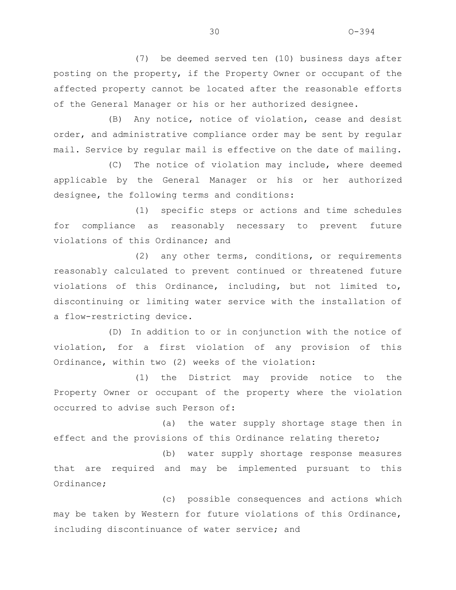(7) be deemed served ten (10) business days after posting on the property, if the Property Owner or occupant of the affected property cannot be located after the reasonable efforts of the General Manager or his or her authorized designee.

(B) Any notice, notice of violation, cease and desist order, and administrative compliance order may be sent by regular mail. Service by regular mail is effective on the date of mailing.

(C) The notice of violation may include, where deemed applicable by the General Manager or his or her authorized designee, the following terms and conditions:

(1) specific steps or actions and time schedules for compliance as reasonably necessary to prevent future violations of this Ordinance; and

(2) any other terms, conditions, or requirements reasonably calculated to prevent continued or threatened future violations of this Ordinance, including, but not limited to, discontinuing or limiting water service with the installation of a flow-restricting device.

(D) In addition to or in conjunction with the notice of violation, for a first violation of any provision of this Ordinance, within two (2) weeks of the violation:

(1) the District may provide notice to the Property Owner or occupant of the property where the violation occurred to advise such Person of:

(a) the water supply shortage stage then in effect and the provisions of this Ordinance relating thereto;

(b) water supply shortage response measures that are required and may be implemented pursuant to this Ordinance;

(c) possible consequences and actions which may be taken by Western for future violations of this Ordinance, including discontinuance of water service; and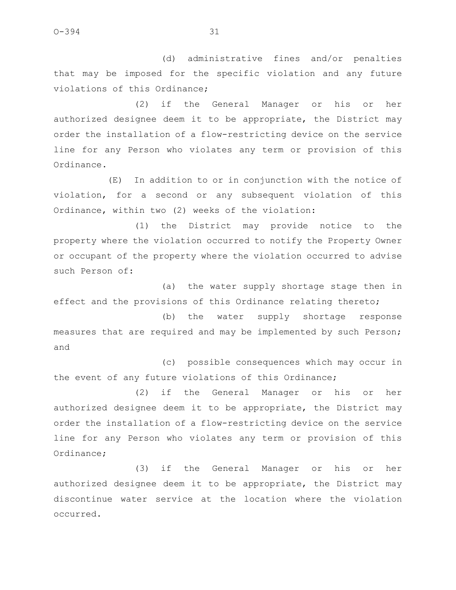(d) administrative fines and/or penalties that may be imposed for the specific violation and any future violations of this Ordinance;

(2) if the General Manager or his or her authorized designee deem it to be appropriate, the District may order the installation of a flow-restricting device on the service line for any Person who violates any term or provision of this Ordinance.

(E) In addition to or in conjunction with the notice of violation, for a second or any subsequent violation of this Ordinance, within two (2) weeks of the violation:

(1) the District may provide notice to the property where the violation occurred to notify the Property Owner or occupant of the property where the violation occurred to advise such Person of:

(a) the water supply shortage stage then in effect and the provisions of this Ordinance relating thereto;

(b) the water supply shortage response measures that are required and may be implemented by such Person; and

(c) possible consequences which may occur in the event of any future violations of this Ordinance;

(2) if the General Manager or his or her authorized designee deem it to be appropriate, the District may order the installation of a flow-restricting device on the service line for any Person who violates any term or provision of this Ordinance;

(3) if the General Manager or his or her authorized designee deem it to be appropriate, the District may discontinue water service at the location where the violation occurred.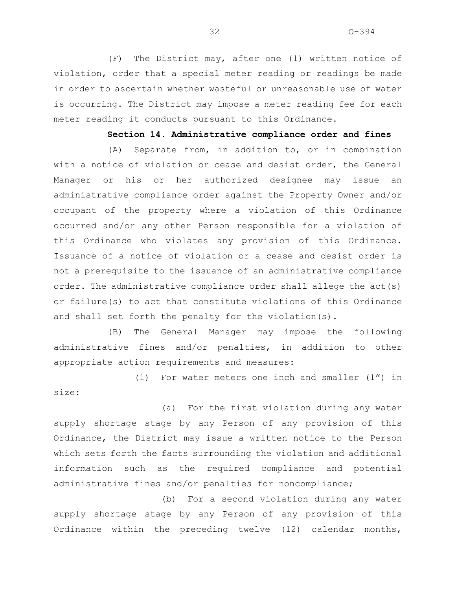(F) The District may, after one (1) written notice of violation, order that a special meter reading or readings be made in order to ascertain whether wasteful or unreasonable use of water is occurring. The District may impose a meter reading fee for each meter reading it conducts pursuant to this Ordinance.

### **Section 14. Administrative compliance order and fines**

(A) Separate from, in addition to, or in combination with a notice of violation or cease and desist order, the General Manager or his or her authorized designee may issue an administrative compliance order against the Property Owner and/or occupant of the property where a violation of this Ordinance occurred and/or any other Person responsible for a violation of this Ordinance who violates any provision of this Ordinance. Issuance of a notice of violation or a cease and desist order is not a prerequisite to the issuance of an administrative compliance order. The administrative compliance order shall allege the act(s) or failure(s) to act that constitute violations of this Ordinance and shall set forth the penalty for the violation(s).

(B) The General Manager may impose the following administrative fines and/or penalties, in addition to other appropriate action requirements and measures:

(1) For water meters one inch and smaller (1") in size:

(a) For the first violation during any water supply shortage stage by any Person of any provision of this Ordinance, the District may issue a written notice to the Person which sets forth the facts surrounding the violation and additional information such as the required compliance and potential administrative fines and/or penalties for noncompliance;

(b) For a second violation during any water supply shortage stage by any Person of any provision of this Ordinance within the preceding twelve (12) calendar months,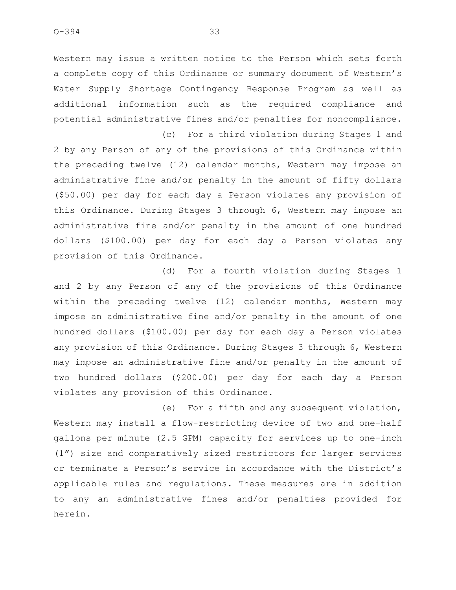Western may issue a written notice to the Person which sets forth a complete copy of this Ordinance or summary document of Western's Water Supply Shortage Contingency Response Program as well as additional information such as the required compliance and potential administrative fines and/or penalties for noncompliance. (c) For a third violation during Stages 1 and

2 by any Person of any of the provisions of this Ordinance within the preceding twelve (12) calendar months, Western may impose an administrative fine and/or penalty in the amount of fifty dollars (\$50.00) per day for each day a Person violates any provision of this Ordinance. During Stages 3 through 6, Western may impose an administrative fine and/or penalty in the amount of one hundred dollars (\$100.00) per day for each day a Person violates any provision of this Ordinance.

(d) For a fourth violation during Stages 1 and 2 by any Person of any of the provisions of this Ordinance within the preceding twelve (12) calendar months, Western may impose an administrative fine and/or penalty in the amount of one hundred dollars (\$100.00) per day for each day a Person violates any provision of this Ordinance. During Stages 3 through 6, Western may impose an administrative fine and/or penalty in the amount of two hundred dollars (\$200.00) per day for each day a Person violates any provision of this Ordinance.

(e) For a fifth and any subsequent violation, Western may install a flow-restricting device of two and one-half gallons per minute (2.5 GPM) capacity for services up to one-inch (1") size and comparatively sized restrictors for larger services or terminate a Person's service in accordance with the District's applicable rules and regulations. These measures are in addition to any an administrative fines and/or penalties provided for herein.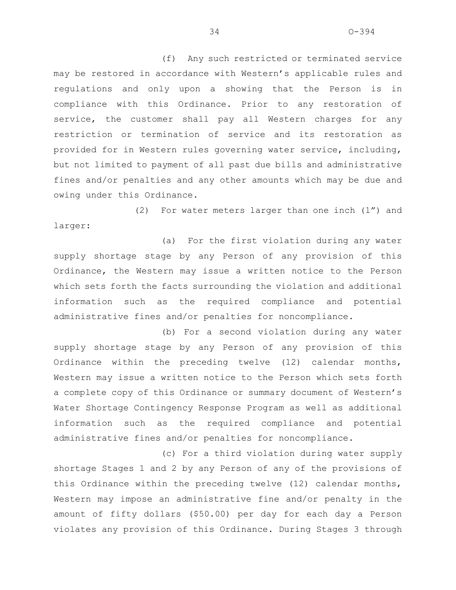(f) Any such restricted or terminated service may be restored in accordance with Western's applicable rules and regulations and only upon a showing that the Person is in compliance with this Ordinance. Prior to any restoration of service, the customer shall pay all Western charges for any restriction or termination of service and its restoration as provided for in Western rules governing water service, including, but not limited to payment of all past due bills and administrative fines and/or penalties and any other amounts which may be due and owing under this Ordinance.

(2) For water meters larger than one inch (1") and larger:

(a) For the first violation during any water supply shortage stage by any Person of any provision of this Ordinance, the Western may issue a written notice to the Person which sets forth the facts surrounding the violation and additional information such as the required compliance and potential administrative fines and/or penalties for noncompliance.

(b) For a second violation during any water supply shortage stage by any Person of any provision of this Ordinance within the preceding twelve (12) calendar months, Western may issue a written notice to the Person which sets forth a complete copy of this Ordinance or summary document of Western's Water Shortage Contingency Response Program as well as additional information such as the required compliance and potential administrative fines and/or penalties for noncompliance.

(c) For a third violation during water supply shortage Stages 1 and 2 by any Person of any of the provisions of this Ordinance within the preceding twelve (12) calendar months, Western may impose an administrative fine and/or penalty in the amount of fifty dollars (\$50.00) per day for each day a Person violates any provision of this Ordinance. During Stages 3 through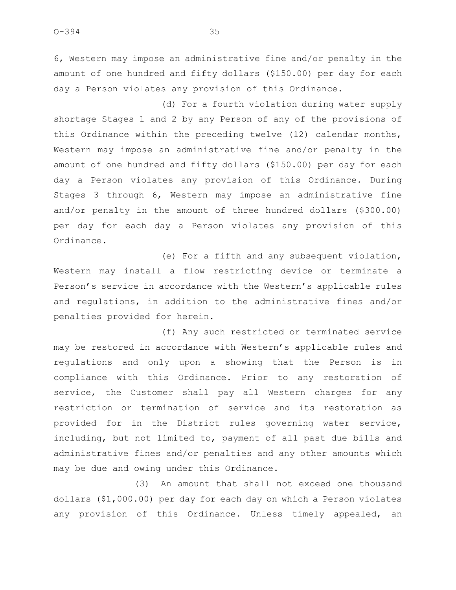6, Western may impose an administrative fine and/or penalty in the amount of one hundred and fifty dollars (\$150.00) per day for each day a Person violates any provision of this Ordinance.

(d) For a fourth violation during water supply shortage Stages 1 and 2 by any Person of any of the provisions of this Ordinance within the preceding twelve (12) calendar months, Western may impose an administrative fine and/or penalty in the amount of one hundred and fifty dollars (\$150.00) per day for each day a Person violates any provision of this Ordinance. During Stages 3 through 6, Western may impose an administrative fine and/or penalty in the amount of three hundred dollars (\$300.00) per day for each day a Person violates any provision of this Ordinance.

(e) For a fifth and any subsequent violation, Western may install a flow restricting device or terminate a Person's service in accordance with the Western's applicable rules and regulations, in addition to the administrative fines and/or penalties provided for herein.

(f) Any such restricted or terminated service may be restored in accordance with Western's applicable rules and regulations and only upon a showing that the Person is in compliance with this Ordinance. Prior to any restoration of service, the Customer shall pay all Western charges for any restriction or termination of service and its restoration as provided for in the District rules governing water service, including, but not limited to, payment of all past due bills and administrative fines and/or penalties and any other amounts which may be due and owing under this Ordinance.

(3) An amount that shall not exceed one thousand dollars (\$1,000.00) per day for each day on which a Person violates any provision of this Ordinance. Unless timely appealed, an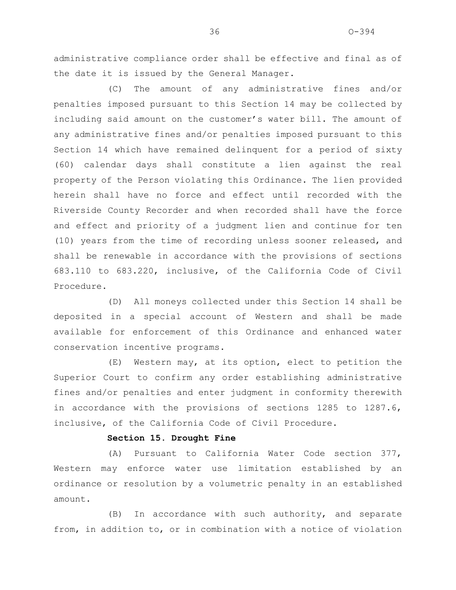administrative compliance order shall be effective and final as of the date it is issued by the General Manager.

(C) The amount of any administrative fines and/or penalties imposed pursuant to this Section 14 may be collected by including said amount on the customer's water bill. The amount of any administrative fines and/or penalties imposed pursuant to this Section 14 which have remained delinquent for a period of sixty (60) calendar days shall constitute a lien against the real property of the Person violating this Ordinance. The lien provided herein shall have no force and effect until recorded with the Riverside County Recorder and when recorded shall have the force and effect and priority of a judgment lien and continue for ten (10) years from the time of recording unless sooner released, and shall be renewable in accordance with the provisions of sections 683.110 to 683.220, inclusive, of the California Code of Civil Procedure.

(D) All moneys collected under this Section 14 shall be deposited in a special account of Western and shall be made available for enforcement of this Ordinance and enhanced water conservation incentive programs.

(E) Western may, at its option, elect to petition the Superior Court to confirm any order establishing administrative fines and/or penalties and enter judgment in conformity therewith in accordance with the provisions of sections 1285 to 1287.6, inclusive, of the California Code of Civil Procedure.

### **Section 15. Drought Fine**

(A) Pursuant to California Water Code section 377, Western may enforce water use limitation established by an ordinance or resolution by a volumetric penalty in an established amount.

(B) In accordance with such authority, and separate from, in addition to, or in combination with a notice of violation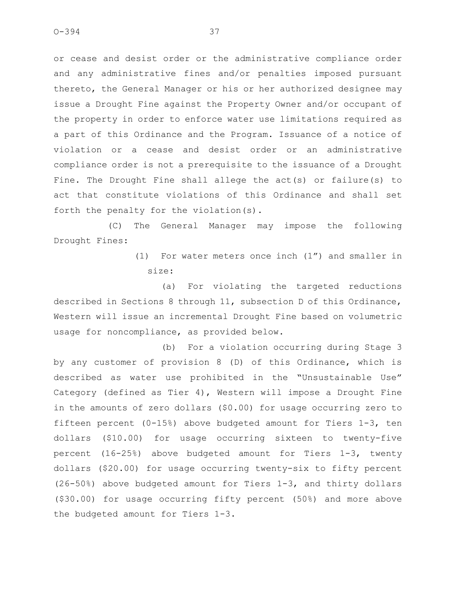or cease and desist order or the administrative compliance order and any administrative fines and/or penalties imposed pursuant thereto, the General Manager or his or her authorized designee may issue a Drought Fine against the Property Owner and/or occupant of the property in order to enforce water use limitations required as a part of this Ordinance and the Program. Issuance of a notice of violation or a cease and desist order or an administrative compliance order is not a prerequisite to the issuance of a Drought Fine. The Drought Fine shall allege the act(s) or failure(s) to act that constitute violations of this Ordinance and shall set forth the penalty for the violation(s).

(C) The General Manager may impose the following Drought Fines:

> (1) For water meters once inch (1") and smaller in size:

(a) For violating the targeted reductions described in Sections 8 through 11, subsection D of this Ordinance, Western will issue an incremental Drought Fine based on volumetric usage for noncompliance, as provided below.

(b) For a violation occurring during Stage 3 by any customer of provision 8 (D) of this Ordinance, which is described as water use prohibited in the "Unsustainable Use" Category (defined as Tier 4), Western will impose a Drought Fine in the amounts of zero dollars (\$0.00) for usage occurring zero to fifteen percent (0-15%) above budgeted amount for Tiers 1-3, ten dollars (\$10.00) for usage occurring sixteen to twenty-five percent (16-25%) above budgeted amount for Tiers 1-3, twenty dollars (\$20.00) for usage occurring twenty-six to fifty percent (26-50%) above budgeted amount for Tiers 1-3, and thirty dollars (\$30.00) for usage occurring fifty percent (50%) and more above the budgeted amount for Tiers 1-3.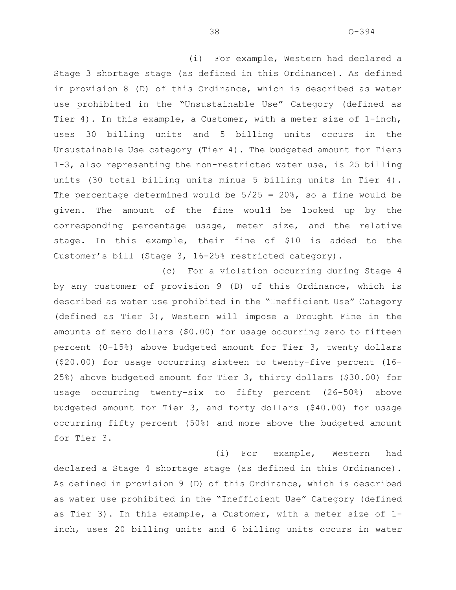(i) For example, Western had declared a Stage 3 shortage stage (as defined in this Ordinance). As defined in provision 8 (D) of this Ordinance, which is described as water use prohibited in the "Unsustainable Use" Category (defined as Tier 4). In this example, a Customer, with a meter size of 1-inch, uses 30 billing units and 5 billing units occurs in the Unsustainable Use category (Tier 4). The budgeted amount for Tiers 1-3, also representing the non-restricted water use, is 25 billing units (30 total billing units minus 5 billing units in Tier 4). The percentage determined would be  $5/25 = 20\%$ , so a fine would be given. The amount of the fine would be looked up by the corresponding percentage usage, meter size, and the relative stage. In this example, their fine of \$10 is added to the Customer's bill (Stage 3, 16-25% restricted category).

(c) For a violation occurring during Stage 4 by any customer of provision 9 (D) of this Ordinance, which is described as water use prohibited in the "Inefficient Use" Category (defined as Tier 3), Western will impose a Drought Fine in the amounts of zero dollars (\$0.00) for usage occurring zero to fifteen percent (0-15%) above budgeted amount for Tier 3, twenty dollars (\$20.00) for usage occurring sixteen to twenty-five percent (16- 25%) above budgeted amount for Tier 3, thirty dollars (\$30.00) for usage occurring twenty-six to fifty percent (26-50%) above budgeted amount for Tier 3, and forty dollars (\$40.00) for usage occurring fifty percent (50%) and more above the budgeted amount for Tier 3.

(i) For example, Western had declared a Stage 4 shortage stage (as defined in this Ordinance). As defined in provision 9 (D) of this Ordinance, which is described as water use prohibited in the "Inefficient Use" Category (defined as Tier 3). In this example, a Customer, with a meter size of 1 inch, uses 20 billing units and 6 billing units occurs in water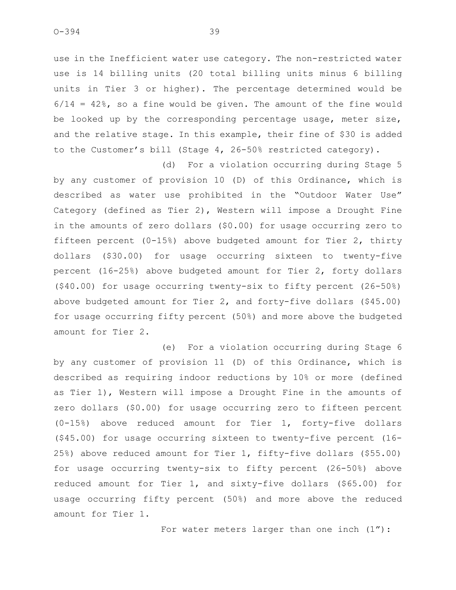use in the Inefficient water use category. The non-restricted water use is 14 billing units (20 total billing units minus 6 billing units in Tier 3 or higher). The percentage determined would be  $6/14 = 42$ %, so a fine would be given. The amount of the fine would be looked up by the corresponding percentage usage, meter size, and the relative stage. In this example, their fine of \$30 is added to the Customer's bill (Stage 4, 26-50% restricted category).

(d) For a violation occurring during Stage 5 by any customer of provision 10 (D) of this Ordinance, which is described as water use prohibited in the "Outdoor Water Use" Category (defined as Tier 2), Western will impose a Drought Fine in the amounts of zero dollars (\$0.00) for usage occurring zero to fifteen percent (0-15%) above budgeted amount for Tier 2, thirty dollars (\$30.00) for usage occurring sixteen to twenty-five percent (16-25%) above budgeted amount for Tier 2, forty dollars (\$40.00) for usage occurring twenty-six to fifty percent (26-50%) above budgeted amount for Tier 2, and forty-five dollars (\$45.00) for usage occurring fifty percent (50%) and more above the budgeted amount for Tier 2.

(e) For a violation occurring during Stage 6 by any customer of provision 11 (D) of this Ordinance, which is described as requiring indoor reductions by 10% or more (defined as Tier 1), Western will impose a Drought Fine in the amounts of zero dollars (\$0.00) for usage occurring zero to fifteen percent (0-15%) above reduced amount for Tier 1, forty-five dollars (\$45.00) for usage occurring sixteen to twenty-five percent (16- 25%) above reduced amount for Tier 1, fifty-five dollars (\$55.00) for usage occurring twenty-six to fifty percent (26-50%) above reduced amount for Tier 1, and sixty-five dollars (\$65.00) for usage occurring fifty percent (50%) and more above the reduced amount for Tier 1.

For water meters larger than one inch (1"):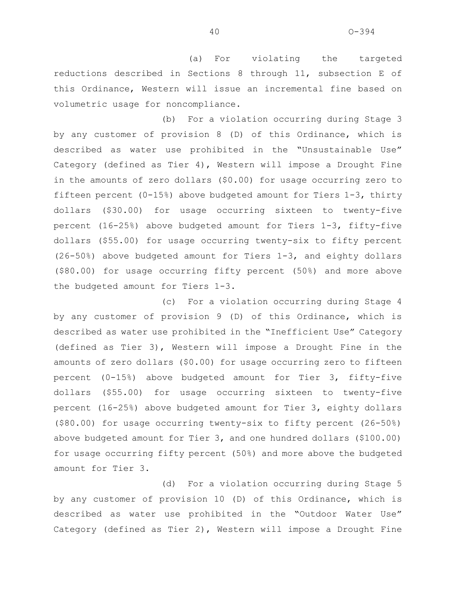(a) For violating the targeted reductions described in Sections 8 through 11, subsection E of this Ordinance, Western will issue an incremental fine based on volumetric usage for noncompliance.

(b) For a violation occurring during Stage 3 by any customer of provision 8 (D) of this Ordinance, which is described as water use prohibited in the "Unsustainable Use" Category (defined as Tier 4), Western will impose a Drought Fine in the amounts of zero dollars (\$0.00) for usage occurring zero to fifteen percent (0-15%) above budgeted amount for Tiers 1-3, thirty dollars (\$30.00) for usage occurring sixteen to twenty-five percent (16-25%) above budgeted amount for Tiers 1-3, fifty-five dollars (\$55.00) for usage occurring twenty-six to fifty percent (26-50%) above budgeted amount for Tiers 1-3, and eighty dollars (\$80.00) for usage occurring fifty percent (50%) and more above the budgeted amount for Tiers 1-3.

(c) For a violation occurring during Stage 4 by any customer of provision 9 (D) of this Ordinance, which is described as water use prohibited in the "Inefficient Use" Category (defined as Tier 3), Western will impose a Drought Fine in the amounts of zero dollars (\$0.00) for usage occurring zero to fifteen percent (0-15%) above budgeted amount for Tier 3, fifty-five dollars (\$55.00) for usage occurring sixteen to twenty-five percent (16-25%) above budgeted amount for Tier 3, eighty dollars (\$80.00) for usage occurring twenty-six to fifty percent (26-50%) above budgeted amount for Tier 3, and one hundred dollars (\$100.00) for usage occurring fifty percent (50%) and more above the budgeted amount for Tier 3.

(d) For a violation occurring during Stage 5 by any customer of provision 10 (D) of this Ordinance, which is described as water use prohibited in the "Outdoor Water Use" Category (defined as Tier 2), Western will impose a Drought Fine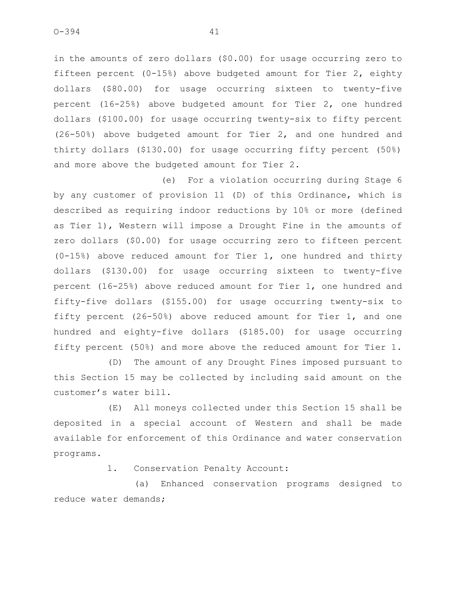in the amounts of zero dollars (\$0.00) for usage occurring zero to fifteen percent (0-15%) above budgeted amount for Tier 2, eighty dollars (\$80.00) for usage occurring sixteen to twenty-five percent (16-25%) above budgeted amount for Tier 2, one hundred dollars (\$100.00) for usage occurring twenty-six to fifty percent (26-50%) above budgeted amount for Tier 2, and one hundred and thirty dollars (\$130.00) for usage occurring fifty percent (50%) and more above the budgeted amount for Tier 2.

(e) For a violation occurring during Stage 6 by any customer of provision 11 (D) of this Ordinance, which is described as requiring indoor reductions by 10% or more (defined as Tier 1), Western will impose a Drought Fine in the amounts of zero dollars (\$0.00) for usage occurring zero to fifteen percent (0-15%) above reduced amount for Tier 1, one hundred and thirty dollars (\$130.00) for usage occurring sixteen to twenty-five percent (16-25%) above reduced amount for Tier 1, one hundred and fifty-five dollars (\$155.00) for usage occurring twenty-six to fifty percent (26-50%) above reduced amount for Tier 1, and one hundred and eighty-five dollars (\$185.00) for usage occurring fifty percent (50%) and more above the reduced amount for Tier 1.

(D) The amount of any Drought Fines imposed pursuant to this Section 15 may be collected by including said amount on the customer's water bill.

(E) All moneys collected under this Section 15 shall be deposited in a special account of Western and shall be made available for enforcement of this Ordinance and water conservation programs.

1. Conservation Penalty Account:

(a) Enhanced conservation programs designed to reduce water demands;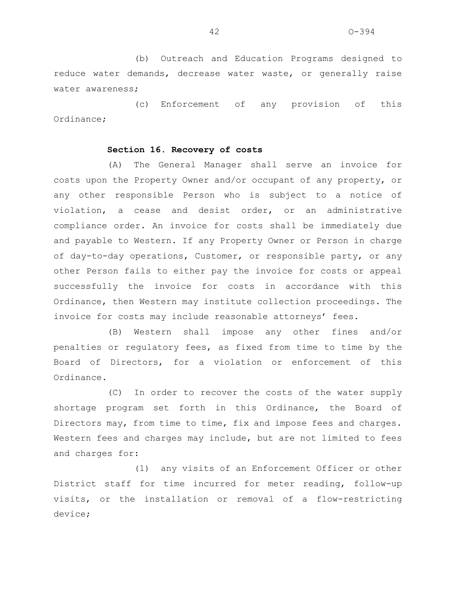(b) Outreach and Education Programs designed to reduce water demands, decrease water waste, or generally raise water awareness;

(c) Enforcement of any provision of this Ordinance;

### **Section 16. Recovery of costs**

(A) The General Manager shall serve an invoice for costs upon the Property Owner and/or occupant of any property, or any other responsible Person who is subject to a notice of violation, a cease and desist order, or an administrative compliance order. An invoice for costs shall be immediately due and payable to Western. If any Property Owner or Person in charge of day-to-day operations, Customer, or responsible party, or any other Person fails to either pay the invoice for costs or appeal successfully the invoice for costs in accordance with this Ordinance, then Western may institute collection proceedings. The invoice for costs may include reasonable attorneys' fees.

(B) Western shall impose any other fines and/or penalties or regulatory fees, as fixed from time to time by the Board of Directors, for a violation or enforcement of this Ordinance.

(C) In order to recover the costs of the water supply shortage program set forth in this Ordinance, the Board of Directors may, from time to time, fix and impose fees and charges. Western fees and charges may include, but are not limited to fees and charges for:

(1) any visits of an Enforcement Officer or other District staff for time incurred for meter reading, follow-up visits, or the installation or removal of a flow-restricting device;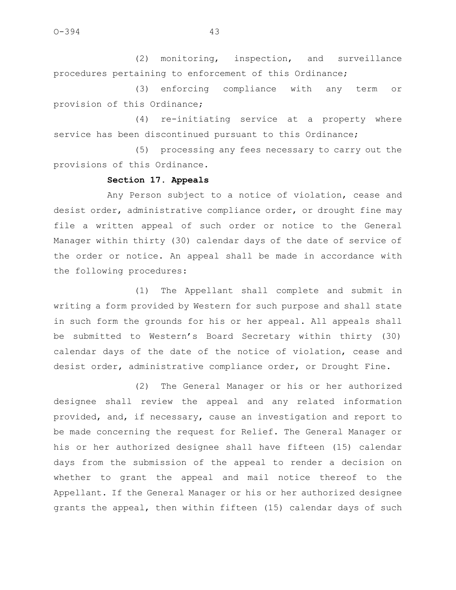(2) monitoring, inspection, and surveillance procedures pertaining to enforcement of this Ordinance;

(3) enforcing compliance with any term or provision of this Ordinance;

(4) re-initiating service at a property where service has been discontinued pursuant to this Ordinance;

(5) processing any fees necessary to carry out the provisions of this Ordinance.

## **Section 17. Appeals**

Any Person subject to a notice of violation, cease and desist order, administrative compliance order, or drought fine may file a written appeal of such order or notice to the General Manager within thirty (30) calendar days of the date of service of the order or notice. An appeal shall be made in accordance with the following procedures:

(1) The Appellant shall complete and submit in writing a form provided by Western for such purpose and shall state in such form the grounds for his or her appeal. All appeals shall be submitted to Western's Board Secretary within thirty (30) calendar days of the date of the notice of violation, cease and desist order, administrative compliance order, or Drought Fine.

(2) The General Manager or his or her authorized designee shall review the appeal and any related information provided, and, if necessary, cause an investigation and report to be made concerning the request for Relief. The General Manager or his or her authorized designee shall have fifteen (15) calendar days from the submission of the appeal to render a decision on whether to grant the appeal and mail notice thereof to the Appellant. If the General Manager or his or her authorized designee grants the appeal, then within fifteen (15) calendar days of such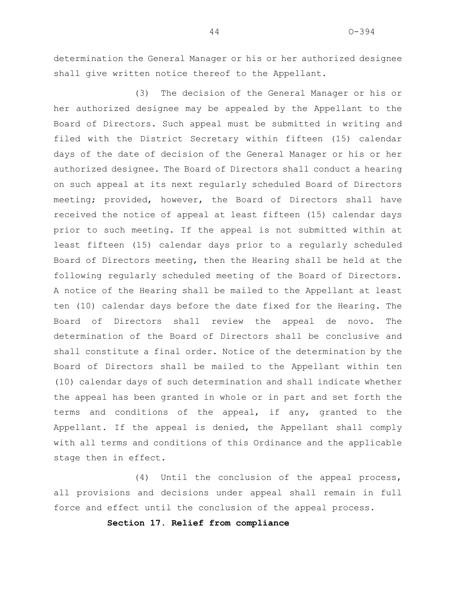determination the General Manager or his or her authorized designee shall give written notice thereof to the Appellant.

(3) The decision of the General Manager or his or her authorized designee may be appealed by the Appellant to the Board of Directors. Such appeal must be submitted in writing and filed with the District Secretary within fifteen (15) calendar days of the date of decision of the General Manager or his or her authorized designee. The Board of Directors shall conduct a hearing on such appeal at its next regularly scheduled Board of Directors meeting; provided, however, the Board of Directors shall have received the notice of appeal at least fifteen (15) calendar days prior to such meeting. If the appeal is not submitted within at least fifteen (15) calendar days prior to a regularly scheduled Board of Directors meeting, then the Hearing shall be held at the following regularly scheduled meeting of the Board of Directors. A notice of the Hearing shall be mailed to the Appellant at least ten (10) calendar days before the date fixed for the Hearing. The Board of Directors shall review the appeal de novo. The determination of the Board of Directors shall be conclusive and shall constitute a final order. Notice of the determination by the Board of Directors shall be mailed to the Appellant within ten (10) calendar days of such determination and shall indicate whether the appeal has been granted in whole or in part and set forth the terms and conditions of the appeal, if any, granted to the Appellant. If the appeal is denied, the Appellant shall comply with all terms and conditions of this Ordinance and the applicable stage then in effect.

(4) Until the conclusion of the appeal process, all provisions and decisions under appeal shall remain in full force and effect until the conclusion of the appeal process.

**Section 17. Relief from compliance**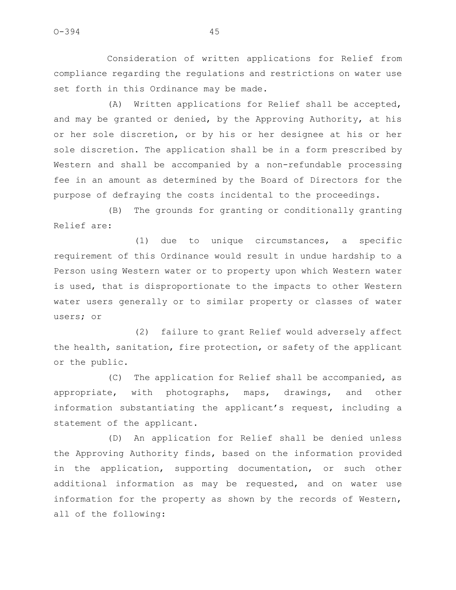Consideration of written applications for Relief from compliance regarding the regulations and restrictions on water use set forth in this Ordinance may be made.

(A) Written applications for Relief shall be accepted, and may be granted or denied, by the Approving Authority, at his or her sole discretion, or by his or her designee at his or her sole discretion. The application shall be in a form prescribed by Western and shall be accompanied by a non-refundable processing fee in an amount as determined by the Board of Directors for the purpose of defraying the costs incidental to the proceedings.

(B) The grounds for granting or conditionally granting Relief are:

(1) due to unique circumstances, a specific requirement of this Ordinance would result in undue hardship to a Person using Western water or to property upon which Western water is used, that is disproportionate to the impacts to other Western water users generally or to similar property or classes of water users; or

(2) failure to grant Relief would adversely affect the health, sanitation, fire protection, or safety of the applicant or the public.

(C) The application for Relief shall be accompanied, as appropriate, with photographs, maps, drawings, and other information substantiating the applicant's request, including a statement of the applicant.

(D) An application for Relief shall be denied unless the Approving Authority finds, based on the information provided in the application, supporting documentation, or such other additional information as may be requested, and on water use information for the property as shown by the records of Western, all of the following: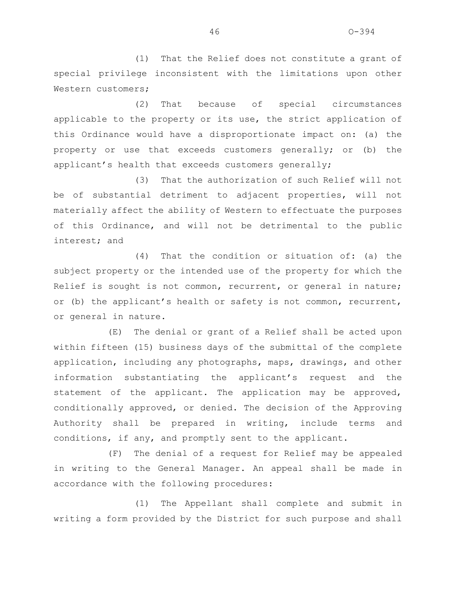(1) That the Relief does not constitute a grant of special privilege inconsistent with the limitations upon other Western customers;

(2) That because of special circumstances applicable to the property or its use, the strict application of this Ordinance would have a disproportionate impact on: (a) the property or use that exceeds customers generally; or (b) the applicant's health that exceeds customers generally;

(3) That the authorization of such Relief will not be of substantial detriment to adjacent properties, will not materially affect the ability of Western to effectuate the purposes of this Ordinance, and will not be detrimental to the public interest; and

(4) That the condition or situation of: (a) the subject property or the intended use of the property for which the Relief is sought is not common, recurrent, or general in nature; or (b) the applicant's health or safety is not common, recurrent, or general in nature.

(E) The denial or grant of a Relief shall be acted upon within fifteen (15) business days of the submittal of the complete application, including any photographs, maps, drawings, and other information substantiating the applicant's request and the statement of the applicant. The application may be approved, conditionally approved, or denied. The decision of the Approving Authority shall be prepared in writing, include terms and conditions, if any, and promptly sent to the applicant.

(F) The denial of a request for Relief may be appealed in writing to the General Manager. An appeal shall be made in accordance with the following procedures:

(1) The Appellant shall complete and submit in writing a form provided by the District for such purpose and shall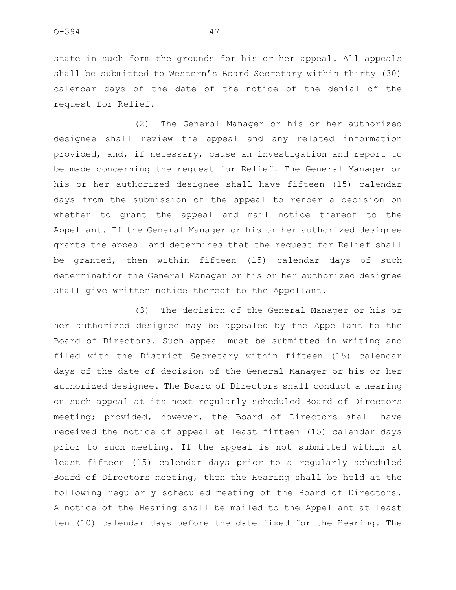state in such form the grounds for his or her appeal. All appeals shall be submitted to Western's Board Secretary within thirty (30) calendar days of the date of the notice of the denial of the request for Relief.

(2) The General Manager or his or her authorized designee shall review the appeal and any related information provided, and, if necessary, cause an investigation and report to be made concerning the request for Relief. The General Manager or his or her authorized designee shall have fifteen (15) calendar days from the submission of the appeal to render a decision on whether to grant the appeal and mail notice thereof to the Appellant. If the General Manager or his or her authorized designee grants the appeal and determines that the request for Relief shall be granted, then within fifteen (15) calendar days of such determination the General Manager or his or her authorized designee shall give written notice thereof to the Appellant.

(3) The decision of the General Manager or his or her authorized designee may be appealed by the Appellant to the Board of Directors. Such appeal must be submitted in writing and filed with the District Secretary within fifteen (15) calendar days of the date of decision of the General Manager or his or her authorized designee. The Board of Directors shall conduct a hearing on such appeal at its next regularly scheduled Board of Directors meeting; provided, however, the Board of Directors shall have received the notice of appeal at least fifteen (15) calendar days prior to such meeting. If the appeal is not submitted within at least fifteen (15) calendar days prior to a regularly scheduled Board of Directors meeting, then the Hearing shall be held at the following regularly scheduled meeting of the Board of Directors. A notice of the Hearing shall be mailed to the Appellant at least ten (10) calendar days before the date fixed for the Hearing. The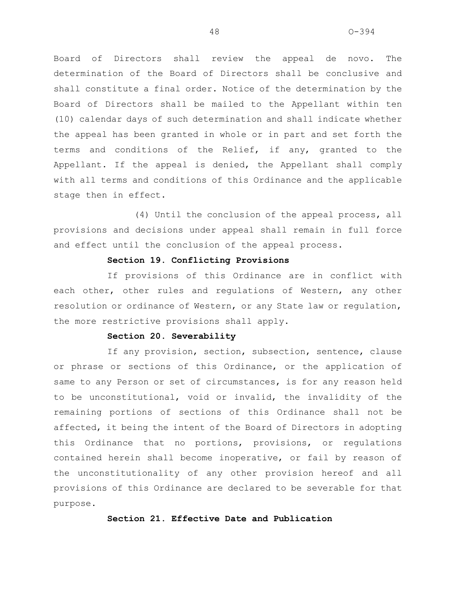Board of Directors shall review the appeal de novo. The determination of the Board of Directors shall be conclusive and shall constitute a final order. Notice of the determination by the Board of Directors shall be mailed to the Appellant within ten (10) calendar days of such determination and shall indicate whether the appeal has been granted in whole or in part and set forth the terms and conditions of the Relief, if any, granted to the Appellant. If the appeal is denied, the Appellant shall comply with all terms and conditions of this Ordinance and the applicable stage then in effect.

(4) Until the conclusion of the appeal process, all provisions and decisions under appeal shall remain in full force and effect until the conclusion of the appeal process.

### **Section 19. Conflicting Provisions**

If provisions of this Ordinance are in conflict with each other, other rules and regulations of Western, any other resolution or ordinance of Western, or any State law or regulation, the more restrictive provisions shall apply.

## **Section 20. Severability**

If any provision, section, subsection, sentence, clause or phrase or sections of this Ordinance, or the application of same to any Person or set of circumstances, is for any reason held to be unconstitutional, void or invalid, the invalidity of the remaining portions of sections of this Ordinance shall not be affected, it being the intent of the Board of Directors in adopting this Ordinance that no portions, provisions, or regulations contained herein shall become inoperative, or fail by reason of the unconstitutionality of any other provision hereof and all provisions of this Ordinance are declared to be severable for that purpose.

## **Section 21. Effective Date and Publication**